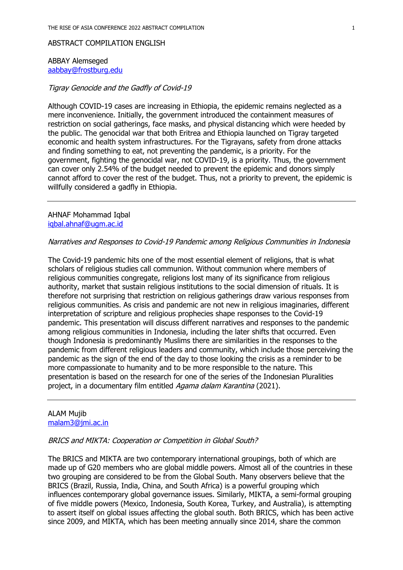#### ABSTRACT COMPILATION ENGLISH

#### ABBAY Alemseged aabbay@frostburg.edu

## Tigray Genocide and the Gadfly of Covid-19

Although COVID-19 cases are increasing in Ethiopia, the epidemic remains neglected as a mere inconvenience. Initially, the government introduced the containment measures of restriction on social gatherings, face masks, and physical distancing which were heeded by the public. The genocidal war that both Eritrea and Ethiopia launched on Tigray targeted economic and health system infrastructures. For the Tigrayans, safety from drone attacks and finding something to eat, not preventing the pandemic, is a priority. For the government, fighting the genocidal war, not COVID-19, is a priority. Thus, the government can cover only 2.54% of the budget needed to prevent the epidemic and donors simply cannot afford to cover the rest of the budget. Thus, not a priority to prevent, the epidemic is willfully considered a gadfly in Ethiopia.

AHNAF Mohammad Iqbal iqbal.ahnaf@ugm.ac.id

### Narratives and Responses to Covid-19 Pandemic among Religious Communities in Indonesia

The Covid-19 pandemic hits one of the most essential element of religions, that is what scholars of religious studies call communion. Without communion where members of religious communities congregate, religions lost many of its significance from religious authority, market that sustain religious institutions to the social dimension of rituals. It is therefore not surprising that restriction on religious gatherings draw various responses from religious communities. As crisis and pandemic are not new in religious imaginaries, different interpretation of scripture and religious prophecies shape responses to the Covid-19 pandemic. This presentation will discuss different narratives and responses to the pandemic among religious communities in Indonesia, including the later shifts that occurred. Even though Indonesia is predominantly Muslims there are similarities in the responses to the pandemic from different religious leaders and community, which include those perceiving the pandemic as the sign of the end of the day to those looking the crisis as a reminder to be more compassionate to humanity and to be more responsible to the nature. This presentation is based on the research for one of the series of the Indonesian Pluralities project, in a documentary film entitled Agama dalam Karantina (2021).

#### ALAM Mujib malam3@jmi.ac.in

#### BRICS and MIKTA: Cooperation or Competition in Global South?

The BRICS and MIKTA are two contemporary international groupings, both of which are made up of G20 members who are global middle powers. Almost all of the countries in these two grouping are considered to be from the Global South. Many observers believe that the BRICS (Brazil, Russia, India, China, and South Africa) is a powerful grouping which influences contemporary global governance issues. Similarly, MIKTA, a semi-formal grouping of five middle powers (Mexico, Indonesia, South Korea, Turkey, and Australia), is attempting to assert itself on global issues affecting the global south. Both BRICS, which has been active since 2009, and MIKTA, which has been meeting annually since 2014, share the common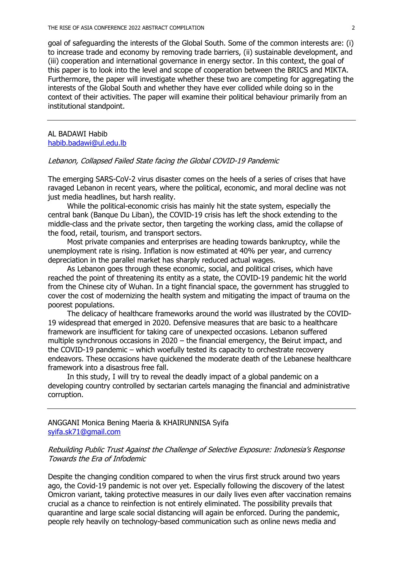goal of safeguarding the interests of the Global South. Some of the common interests are: (i) to increase trade and economy by removing trade barriers, (ii) sustainable development, and (iii) cooperation and international governance in energy sector. In this context, the goal of this paper is to look into the level and scope of cooperation between the BRICS and MIKTA. Furthermore, the paper will investigate whether these two are competing for aggregating the interests of the Global South and whether they have ever collided while doing so in the context of their activities. The paper will examine their political behaviour primarily from an institutional standpoint.

AL BADAWI Habib habib.badawi@ul.edu.lb

#### Lebanon, Collapsed Failed State facing the Global COVID-19 Pandemic

The emerging SARS-CoV-2 virus disaster comes on the heels of a series of crises that have ravaged Lebanon in recent years, where the political, economic, and moral decline was not just media headlines, but harsh reality.

While the political-economic crisis has mainly hit the state system, especially the central bank (Banque Du Liban), the COVID-19 crisis has left the shock extending to the middle-class and the private sector, then targeting the working class, amid the collapse of the food, retail, tourism, and transport sectors.

Most private companies and enterprises are heading towards bankruptcy, while the unemployment rate is rising. Inflation is now estimated at 40% per year, and currency depreciation in the parallel market has sharply reduced actual wages.

As Lebanon goes through these economic, social, and political crises, which have reached the point of threatening its entity as a state, the COVID-19 pandemic hit the world from the Chinese city of Wuhan. In a tight financial space, the government has struggled to cover the cost of modernizing the health system and mitigating the impact of trauma on the poorest populations.

The delicacy of healthcare frameworks around the world was illustrated by the COVID-19 widespread that emerged in 2020. Defensive measures that are basic to a healthcare framework are insufficient for taking care of unexpected occasions. Lebanon suffered multiple synchronous occasions in 2020 – the financial emergency, the Beirut impact, and the COVID-19 pandemic – which woefully tested its capacity to orchestrate recovery endeavors. These occasions have quickened the moderate death of the Lebanese healthcare framework into a disastrous free fall.

In this study, I will try to reveal the deadly impact of a global pandemic on a developing country controlled by sectarian cartels managing the financial and administrative corruption.

ANGGANI Monica Bening Maeria & KHAIRUNNISA Syifa syifa.sk71@gmail.com

Rebuilding Public Trust Against the Challenge of Selective Exposure: Indonesia's Response Towards the Era of Infodemic

Despite the changing condition compared to when the virus first struck around two years ago, the Covid-19 pandemic is not over yet. Especially following the discovery of the latest Omicron variant, taking protective measures in our daily lives even after vaccination remains crucial as a chance to reinfection is not entirely eliminated. The possibility prevails that quarantine and large scale social distancing will again be enforced. During the pandemic, people rely heavily on technology-based communication such as online news media and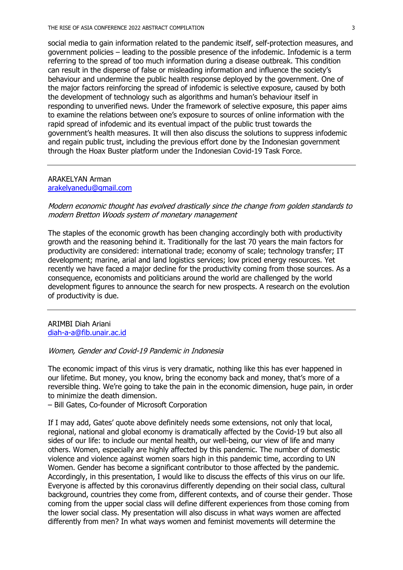social media to gain information related to the pandemic itself, self-protection measures, and government policies – leading to the possible presence of the infodemic. Infodemic is a term referring to the spread of too much information during a disease outbreak. This condition can result in the disperse of false or misleading information and influence the society's behaviour and undermine the public health response deployed by the government. One of the major factors reinforcing the spread of infodemic is selective exposure, caused by both the development of technology such as algorithms and human's behaviour itself in responding to unverified news. Under the framework of selective exposure, this paper aims to examine the relations between one's exposure to sources of online information with the rapid spread of infodemic and its eventual impact of the public trust towards the government's health measures. It will then also discuss the solutions to suppress infodemic and regain public trust, including the previous effort done by the Indonesian government through the Hoax Buster platform under the Indonesian Covid-19 Task Force.

#### ARAKELYAN Arman arakelyanedu@gmail.com

### Modern economic thought has evolved drastically since the change from golden standards to modern Bretton Woods system of monetary management

The staples of the economic growth has been changing accordingly both with productivity growth and the reasoning behind it. Traditionally for the last 70 years the main factors for productivity are considered: international trade; economy of scale; technology transfer; IT development; marine, arial and land logistics services; low priced energy resources. Yet recently we have faced a major decline for the productivity coming from those sources. As a consequence, economists and politicians around the world are challenged by the world development figures to announce the search for new prospects. A research on the evolution of productivity is due.

ARIMBI Diah Ariani diah-a-a@fib.unair.ac.id

Women, Gender and Covid-19 Pandemic in Indonesia

The economic impact of this virus is very dramatic, nothing like this has ever happened in our lifetime. But money, you know, bring the economy back and money, that's more of a reversible thing. We're going to take the pain in the economic dimension, huge pain, in order to minimize the death dimension.

– Bill Gates, Co-founder of Microsoft Corporation

If I may add, Gates' quote above definitely needs some extensions, not only that local, regional, national and global economy is dramatically affected by the Covid-19 but also all sides of our life: to include our mental health, our well-being, our view of life and many others. Women, especially are highly affected by this pandemic. The number of domestic violence and violence against women soars high in this pandemic time, according to UN Women. Gender has become a significant contributor to those affected by the pandemic. Accordingly, in this presentation, I would like to discuss the effects of this virus on our life. Everyone is affected by this coronavirus differently depending on their social class, cultural background, countries they come from, different contexts, and of course their gender. Those coming from the upper social class will define different experiences from those coming from the lower social class. My presentation will also discuss in what ways women are affected differently from men? In what ways women and feminist movements will determine the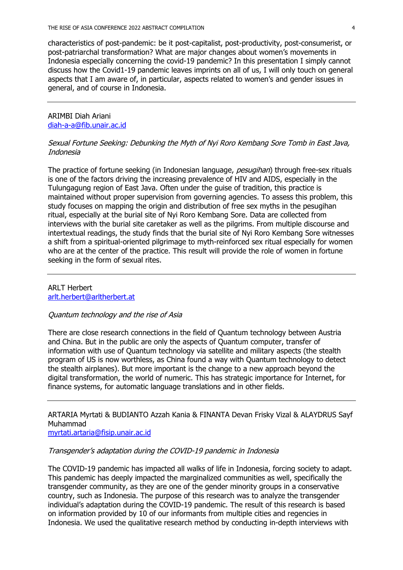characteristics of post-pandemic: be it post-capitalist, post-productivity, post-consumerist, or post-patriarchal transformation? What are major changes about women's movements in Indonesia especially concerning the covid-19 pandemic? In this presentation I simply cannot discuss how the Covid1-19 pandemic leaves imprints on all of us, I will only touch on general aspects that I am aware of, in particular, aspects related to women's and gender issues in general, and of course in Indonesia.

## ARIMBI Diah Ariani diah-a-a@fib.unair.ac.id

# Sexual Fortune Seeking: Debunking the Myth of Nyi Roro Kembang Sore Tomb in East Java, Indonesia

The practice of fortune seeking (in Indonesian language, pesugihan) through free-sex rituals is one of the factors driving the increasing prevalence of HIV and AIDS, especially in the Tulungagung region of East Java. Often under the guise of tradition, this practice is maintained without proper supervision from governing agencies. To assess this problem, this study focuses on mapping the origin and distribution of free sex myths in the pesugihan ritual, especially at the burial site of Nyi Roro Kembang Sore. Data are collected from interviews with the burial site caretaker as well as the pilgrims. From multiple discourse and intertextual readings, the study finds that the burial site of Nyi Roro Kembang Sore witnesses a shift from a spiritual-oriented pilgrimage to myth-reinforced sex ritual especially for women who are at the center of the practice. This result will provide the role of women in fortune seeking in the form of sexual rites.

# ARLT Herbert arlt.herbert@arltherbert.at

### Quantum technology and the rise of Asia

There are close research connections in the field of Quantum technology between Austria and China. But in the public are only the aspects of Quantum computer, transfer of information with use of Quantum technology via satellite and military aspects (the stealth program of US is now worthless, as China found a way with Quantum technology to detect the stealth airplanes). But more important is the change to a new approach beyond the digital transformation, the world of numeric. This has strategic importance for Internet, for finance systems, for automatic language translations and in other fields.

ARTARIA Myrtati & BUDIANTO Azzah Kania & FINANTA Devan Frisky Vizal & ALAYDRUS Sayf Muhammad

myrtati.artaria@fisip.unair.ac.id

### Transgender's adaptation during the COVID-19 pandemic in Indonesia

The COVID-19 pandemic has impacted all walks of life in Indonesia, forcing society to adapt. This pandemic has deeply impacted the marginalized communities as well, specifically the transgender community, as they are one of the gender minority groups in a conservative country, such as Indonesia. The purpose of this research was to analyze the transgender individual's adaptation during the COVID-19 pandemic. The result of this research is based on information provided by 10 of our informants from multiple cities and regencies in Indonesia. We used the qualitative research method by conducting in-depth interviews with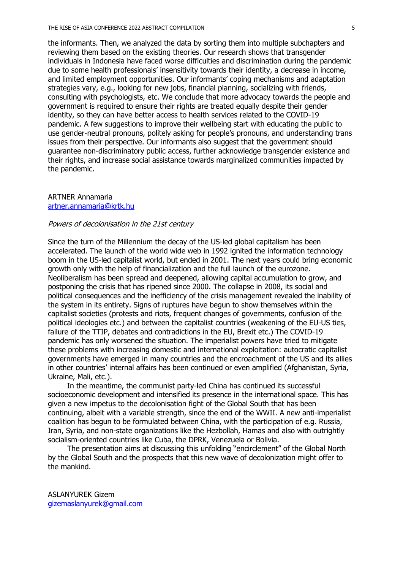the informants. Then, we analyzed the data by sorting them into multiple subchapters and reviewing them based on the existing theories. Our research shows that transgender individuals in Indonesia have faced worse difficulties and discrimination during the pandemic due to some health professionals' insensitivity towards their identity, a decrease in income, and limited employment opportunities. Our informants' coping mechanisms and adaptation strategies vary, e.g., looking for new jobs, financial planning, socializing with friends, consulting with psychologists, etc. We conclude that more advocacy towards the people and government is required to ensure their rights are treated equally despite their gender identity, so they can have better access to health services related to the COVID-19 pandemic. A few suggestions to improve their wellbeing start with educating the public to use gender-neutral pronouns, politely asking for people's pronouns, and understanding trans issues from their perspective. Our informants also suggest that the government should guarantee non-discriminatory public access, further acknowledge transgender existence and their rights, and increase social assistance towards marginalized communities impacted by the pandemic.

#### ARTNER Annamaria artner.annamaria@krtk.hu

#### Powers of decolonisation in the 21st century

Since the turn of the Millennium the decay of the US-led global capitalism has been accelerated. The launch of the world wide web in 1992 ignited the information technology boom in the US-led capitalist world, but ended in 2001. The next years could bring economic growth only with the help of financialization and the full launch of the eurozone. Neoliberalism has been spread and deepened, allowing capital accumulation to grow, and postponing the crisis that has ripened since 2000. The collapse in 2008, its social and political consequences and the inefficiency of the crisis management revealed the inability of the system in its entirety. Signs of ruptures have begun to show themselves within the capitalist societies (protests and riots, frequent changes of governments, confusion of the political ideologies etc.) and between the capitalist countries (weakening of the EU-US ties, failure of the TTIP, debates and contradictions in the EU, Brexit etc.) The COVID-19 pandemic has only worsened the situation. The imperialist powers have tried to mitigate these problems with increasing domestic and international exploitation: autocratic capitalist governments have emerged in many countries and the encroachment of the US and its allies in other countries' internal affairs has been continued or even amplified (Afghanistan, Syria, Ukraine, Mali, etc.).

In the meantime, the communist party-led China has continued its successful socioeconomic development and intensified its presence in the international space. This has given a new impetus to the decolonisation fight of the Global South that has been continuing, albeit with a variable strength, since the end of the WWII. A new anti-imperialist coalition has begun to be formulated between China, with the participation of e.g. Russia, Iran, Syria, and non-state organizations like the Hezbollah, Hamas and also with outrightly socialism-oriented countries like Cuba, the DPRK, Venezuela or Bolivia.

The presentation aims at discussing this unfolding "encirclement" of the Global North by the Global South and the prospects that this new wave of decolonization might offer to the mankind.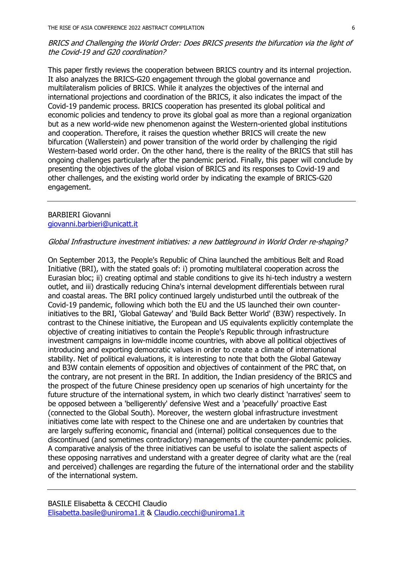# BRICS and Challenging the World Order: Does BRICS presents the bifurcation via the light of the Covid-19 and G20 coordination?

This paper firstly reviews the cooperation between BRICS country and its internal projection. It also analyzes the BRICS-G20 engagement through the global governance and multilateralism policies of BRICS. While it analyzes the objectives of the internal and international projections and coordination of the BRICS, it also indicates the impact of the Covid-19 pandemic process. BRICS cooperation has presented its global political and economic policies and tendency to prove its global goal as more than a regional organization but as a new world-wide new phenomenon against the Western-oriented global institutions and cooperation. Therefore, it raises the question whether BRICS will create the new bifurcation (Wallerstein) and power transition of the world order by challenging the rigid Western-based world order. On the other hand, there is the reality of the BRICS that still has ongoing challenges particularly after the pandemic period. Finally, this paper will conclude by presenting the objectives of the global vision of BRICS and its responses to Covid-19 and other challenges, and the existing world order by indicating the example of BRICS-G20 engagement.

### BARBIERI Giovanni giovanni.barbieri@unicatt.it

# Global Infrastructure investment initiatives: a new battleground in World Order re-shaping?

On September 2013, the People's Republic of China launched the ambitious Belt and Road Initiative (BRI), with the stated goals of: i) promoting multilateral cooperation across the Eurasian bloc; ii) creating optimal and stable conditions to give its hi-tech industry a western outlet, and iii) drastically reducing China's internal development differentials between rural and coastal areas. The BRI policy continued largely undisturbed until the outbreak of the Covid-19 pandemic, following which both the EU and the US launched their own counterinitiatives to the BRI, 'Global Gateway' and 'Build Back Better World' (B3W) respectively. In contrast to the Chinese initiative, the European and US equivalents explicitly contemplate the objective of creating initiatives to contain the People's Republic through infrastructure investment campaigns in low-middle income countries, with above all political objectives of introducing and exporting democratic values in order to create a climate of international stability. Net of political evaluations, it is interesting to note that both the Global Gateway and B3W contain elements of opposition and objectives of containment of the PRC that, on the contrary, are not present in the BRI. In addition, the Indian presidency of the BRICS and the prospect of the future Chinese presidency open up scenarios of high uncertainty for the future structure of the international system, in which two clearly distinct 'narratives' seem to be opposed between a 'belligerently' defensive West and a 'peacefully' proactive East (connected to the Global South). Moreover, the western global infrastructure investment initiatives come late with respect to the Chinese one and are undertaken by countries that are largely suffering economic, financial and (internal) political consequences due to the discontinued (and sometimes contradictory) managements of the counter-pandemic policies. A comparative analysis of the three initiatives can be useful to isolate the salient aspects of these opposing narratives and understand with a greater degree of clarity what are the (real and perceived) challenges are regarding the future of the international order and the stability of the international system.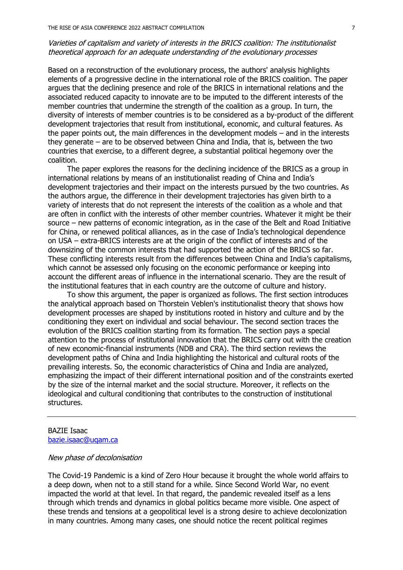# Varieties of capitalism and variety of interests in the BRICS coalition: The institutionalist theoretical approach for an adequate understanding of the evolutionary processes

Based on a reconstruction of the evolutionary process, the authors' analysis highlights elements of a progressive decline in the international role of the BRICS coalition. The paper argues that the declining presence and role of the BRICS in international relations and the associated reduced capacity to innovate are to be imputed to the different interests of the member countries that undermine the strength of the coalition as a group. In turn, the diversity of interests of member countries is to be considered as a by-product of the different development trajectories that result from institutional, economic, and cultural features. As the paper points out, the main differences in the development models – and in the interests they generate – are to be observed between China and India, that is, between the two countries that exercise, to a different degree, a substantial political hegemony over the coalition.

The paper explores the reasons for the declining incidence of the BRICS as a group in international relations by means of an institutionalist reading of China and India's development trajectories and their impact on the interests pursued by the two countries. As the authors argue, the difference in their development trajectories has given birth to a variety of interests that do not represent the interests of the coalition as a whole and that are often in conflict with the interests of other member countries. Whatever it might be their source – new patterns of economic integration, as in the case of the Belt and Road Initiative for China, or renewed political alliances, as in the case of India's technological dependence on USA – extra-BRICS interests are at the origin of the conflict of interests and of the downsizing of the common interests that had supported the action of the BRICS so far. These conflicting interests result from the differences between China and India's capitalisms, which cannot be assessed only focusing on the economic performance or keeping into account the different areas of influence in the international scenario. They are the result of the institutional features that in each country are the outcome of culture and history.

To show this argument, the paper is organized as follows. The first section introduces the analytical approach based on Thorstein Veblen's institutionalist theory that shows how development processes are shaped by institutions rooted in history and culture and by the conditioning they exert on individual and social behaviour. The second section traces the evolution of the BRICS coalition starting from its formation. The section pays a special attention to the process of institutional innovation that the BRICS carry out with the creation of new economic-financial instruments (NDB and CRA). The third section reviews the development paths of China and India highlighting the historical and cultural roots of the prevailing interests. So, the economic characteristics of China and India are analyzed, emphasizing the impact of their different international position and of the constraints exerted by the size of the internal market and the social structure. Moreover, it reflects on the ideological and cultural conditioning that contributes to the construction of institutional structures.

### BAZIE Isaac bazie.isaac@uqam.ca

#### New phase of decolonisation

The Covid-19 Pandemic is a kind of Zero Hour because it brought the whole world affairs to a deep down, when not to a still stand for a while. Since Second World War, no event impacted the world at that level. In that regard, the pandemic revealed itself as a lens through which trends and dynamics in global politics became more visible. One aspect of these trends and tensions at a geopolitical level is a strong desire to achieve decolonization in many countries. Among many cases, one should notice the recent political regimes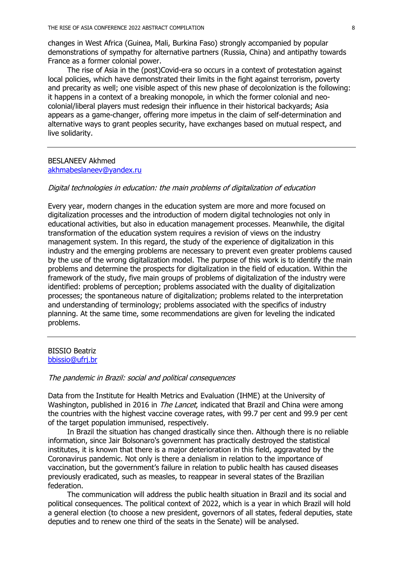changes in West Africa (Guinea, Mali, Burkina Faso) strongly accompanied by popular demonstrations of sympathy for alternative partners (Russia, China) and antipathy towards France as a former colonial power.

The rise of Asia in the (post)Covid-era so occurs in a context of protestation against local policies, which have demonstrated their limits in the fight against terrorism, poverty and precarity as well; one visible aspect of this new phase of decolonization is the following: it happens in a context of a breaking monopole, in which the former colonial and neocolonial/liberal players must redesign their influence in their historical backyards; Asia appears as a game-changer, offering more impetus in the claim of self-determination and alternative ways to grant peoples security, have exchanges based on mutual respect, and live solidarity.

### BESLANEEV Akhmed akhmabeslaneev@yandex.ru

#### Digital technologies in education: the main problems of digitalization of education

Every year, modern changes in the education system are more and more focused on digitalization processes and the introduction of modern digital technologies not only in educational activities, but also in education management processes. Meanwhile, the digital transformation of the education system requires a revision of views on the industry management system. In this regard, the study of the experience of digitalization in this industry and the emerging problems are necessary to prevent even greater problems caused by the use of the wrong digitalization model. The purpose of this work is to identify the main problems and determine the prospects for digitalization in the field of education. Within the framework of the study, five main groups of problems of digitalization of the industry were identified: problems of perception; problems associated with the duality of digitalization processes; the spontaneous nature of digitalization; problems related to the interpretation and understanding of terminology; problems associated with the specifics of industry planning. At the same time, some recommendations are given for leveling the indicated problems.

#### BISSIO Beatriz bbissio@ufrj.br

#### The pandemic in Brazil: social and political consequences

Data from the Institute for Health Metrics and Evaluation (IHME) at the University of Washington, published in 2016 in *The Lancet*, indicated that Brazil and China were among the countries with the highest vaccine coverage rates, with 99.7 per cent and 99.9 per cent of the target population immunised, respectively.

In Brazil the situation has changed drastically since then. Although there is no reliable information, since Jair Bolsonaro's government has practically destroyed the statistical institutes, it is known that there is a major deterioration in this field, aggravated by the Coronavirus pandemic. Not only is there a denialism in relation to the importance of vaccination, but the government's failure in relation to public health has caused diseases previously eradicated, such as measles, to reappear in several states of the Brazilian federation.

The communication will address the public health situation in Brazil and its social and political consequences. The political context of 2022, which is a year in which Brazil will hold a general election (to choose a new president, governors of all states, federal deputies, state deputies and to renew one third of the seats in the Senate) will be analysed.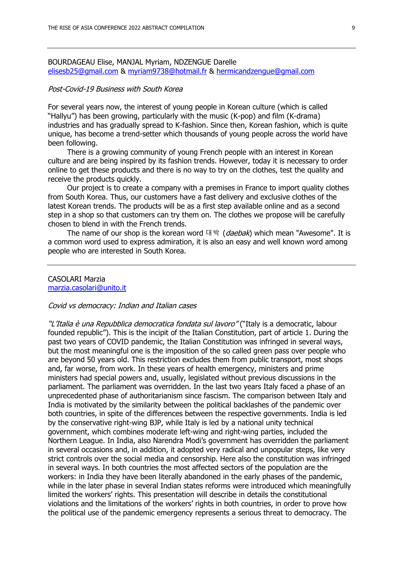BOURDAGEAU Elise, MANJAL Myriam, NDZENGUE Darelle elisesb25@gmail.com & myriam9738@hotmail.fr & hermicandzengue@gmail.com

#### Post-Covid-19 Business with South Korea

For several years now, the interest of young people in Korean culture (which is called "Hallyu") has been growing, particularly with the music (K-pop) and film (K-drama) industries and has gradually spread to K-fashion. Since then, Korean fashion, which is quite unique, has become a trend-setter which thousands of young people across the world have been following.

There is a growing community of young French people with an interest in Korean culture and are being inspired by its fashion trends. However, today it is necessary to order online to get these products and there is no way to try on the clothes, test the quality and receive the products quickly.

Our project is to create a company with a premises in France to import quality clothes from South Korea. Thus, our customers have a fast delivery and exclusive clothes of the latest Korean trends. The products will be as a first step available online and as a second step in a shop so that customers can try them on. The clothes we propose will be carefully chosen to blend in with the French trends.

The name of our shop is the korean word 대박 (daebak) which mean "Awesome". It is a common word used to express admiration, it is also an easy and well known word among people who are interested in South Korea.

CASOLARI Marzia marzia.casolari@unito.it

#### Covid vs democracy: Indian and Italian cases

"L'Italia è una Repubblica democratica fondata sul lavoro" ("Italy is a democratic, labour founded republic"). This is the incipit of the Italian Constitution, part of article 1. During the past two years of COVID pandemic, the Italian Constitution was infringed in several ways, but the most meaningful one is the imposition of the so called green pass over people who are beyond 50 years old. This restriction excludes them from public transport, most shops and, far worse, from work. In these years of health emergency, ministers and prime ministers had special powers and, usually, legislated without previous discussions in the parliament. The parliament was overridden. In the last two years Italy faced a phase of an unprecedented phase of authoritarianism since fascism. The comparison between Italy and India is motivated by the similarity between the political backlashes of the pandemic over both countries, in spite of the differences between the respective governments. India is led by the conservative right-wing BJP, while Italy is led by a national unity technical government, which combines moderate left-wing and right-wing parties, included the Northern League. In India, also Narendra Modi's government has overridden the parliament in several occasions and, in addition, it adopted very radical and unpopular steps, like very strict controls over the social media and censorship. Here also the constitution was infringed in several ways. In both countries the most affected sectors of the population are the workers: in India they have been literally abandoned in the early phases of the pandemic, while in the later phase in several Indian states reforms were introduced which meaningfully limited the workers' rights. This presentation will describe in details the constitutional violations and the limitations of the workers' rights in both countries, in order to prove how the political use of the pandemic emergency represents a serious threat to democracy. The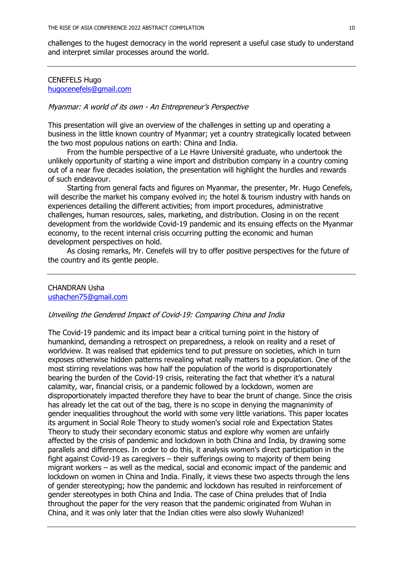challenges to the hugest democracy in the world represent a useful case study to understand and interpret similar processes around the world.

# CENEFELS Hugo hugocenefels@gmail.com

### Myanmar: A world of its own - An Entrepreneur's Perspective

This presentation will give an overview of the challenges in setting up and operating a business in the little known country of Myanmar; yet a country strategically located between the two most populous nations on earth: China and India.

From the humble perspective of a Le Havre Université graduate, who undertook the unlikely opportunity of starting a wine import and distribution company in a country coming out of a near five decades isolation, the presentation will highlight the hurdles and rewards of such endeavour.

Starting from general facts and figures on Myanmar, the presenter, Mr. Hugo Cenefels, will describe the market his company evolved in; the hotel & tourism industry with hands on experiences detailing the different activities; from import procedures, administrative challenges, human resources, sales, marketing, and distribution. Closing in on the recent development from the worldwide Covid-19 pandemic and its ensuing effects on the Myanmar economy, to the recent internal crisis occurring putting the economic and human development perspectives on hold.

As closing remarks, Mr. Cenefels will try to offer positive perspectives for the future of the country and its gentle people.

# CHANDRAN Usha

ushachen75@gmail.com

### Unveiling the Gendered Impact of Covid-19: Comparing China and India

The Covid-19 pandemic and its impact bear a critical turning point in the history of humankind, demanding a retrospect on preparedness, a relook on reality and a reset of worldview. It was realised that epidemics tend to put pressure on societies, which in turn exposes otherwise hidden patterns revealing what really matters to a population. One of the most stirring revelations was how half the population of the world is disproportionately bearing the burden of the Covid-19 crisis, reiterating the fact that whether it's a natural calamity, war, financial crisis, or a pandemic followed by a lockdown, women are disproportionately impacted therefore they have to bear the brunt of change. Since the crisis has already let the cat out of the bag, there is no scope in denying the magnanimity of gender inequalities throughout the world with some very little variations. This paper locates its argument in Social Role Theory to study women's social role and Expectation States Theory to study their secondary economic status and explore why women are unfairly affected by the crisis of pandemic and lockdown in both China and India, by drawing some parallels and differences. In order to do this, it analysis women's direct participation in the fight against Covid-19 as caregivers – their sufferings owing to majority of them being migrant workers – as well as the medical, social and economic impact of the pandemic and lockdown on women in China and India. Finally, it views these two aspects through the lens of gender stereotyping; how the pandemic and lockdown has resulted in reinforcement of gender stereotypes in both China and India. The case of China preludes that of India throughout the paper for the very reason that the pandemic originated from Wuhan in China, and it was only later that the Indian cities were also slowly Wuhanized!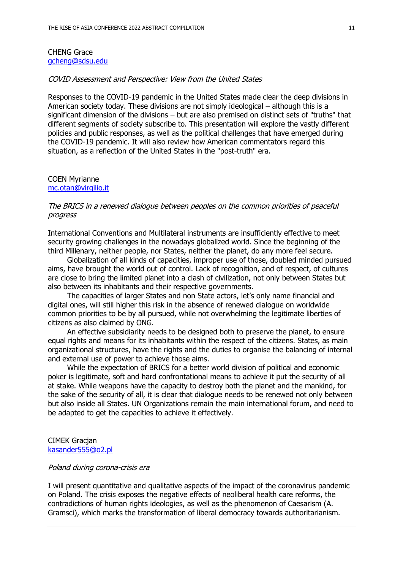### CHENG Grace gcheng@sdsu.edu

## COVID Assessment and Perspective: View from the United States

Responses to the COVID-19 pandemic in the United States made clear the deep divisions in American society today. These divisions are not simply ideological – although this is a significant dimension of the divisions – but are also premised on distinct sets of "truths" that different segments of society subscribe to. This presentation will explore the vastly different policies and public responses, as well as the political challenges that have emerged during the COVID-19 pandemic. It will also review how American commentators regard this situation, as a reflection of the United States in the "post-truth" era.

#### COEN Myrianne mc.otan@virgilio.it

## The BRICS in a renewed dialogue between peoples on the common priorities of peaceful progress

International Conventions and Multilateral instruments are insufficiently effective to meet security growing challenges in the nowadays globalized world. Since the beginning of the third Millenary, neither people, nor States, neither the planet, do any more feel secure.

Globalization of all kinds of capacities, improper use of those, doubled minded pursued aims, have brought the world out of control. Lack of recognition, and of respect, of cultures are close to bring the limited planet into a clash of civilization, not only between States but also between its inhabitants and their respective governments.

The capacities of larger States and non State actors, let's only name financial and digital ones, will still higher this risk in the absence of renewed dialogue on worldwide common priorities to be by all pursued, while not overwhelming the legitimate liberties of citizens as also claimed by ONG.

An effective subsidiarity needs to be designed both to preserve the planet, to ensure equal rights and means for its inhabitants within the respect of the citizens. States, as main organizational structures, have the rights and the duties to organise the balancing of internal and external use of power to achieve those aims.

While the expectation of BRICS for a better world division of political and economic poker is legitimate, soft and hard confrontational means to achieve it put the security of all at stake. While weapons have the capacity to destroy both the planet and the mankind, for the sake of the security of all, it is clear that dialogue needs to be renewed not only between but also inside all States. UN Organizations remain the main international forum, and need to be adapted to get the capacities to achieve it effectively.

#### CIMEK Gracjan kasander555@o2.pl

#### Poland during corona-crisis era

I will present quantitative and qualitative aspects of the impact of the coronavirus pandemic on Poland. The crisis exposes the negative effects of neoliberal health care reforms, the contradictions of human rights ideologies, as well as the phenomenon of Caesarism (A. Gramsci), which marks the transformation of liberal democracy towards authoritarianism.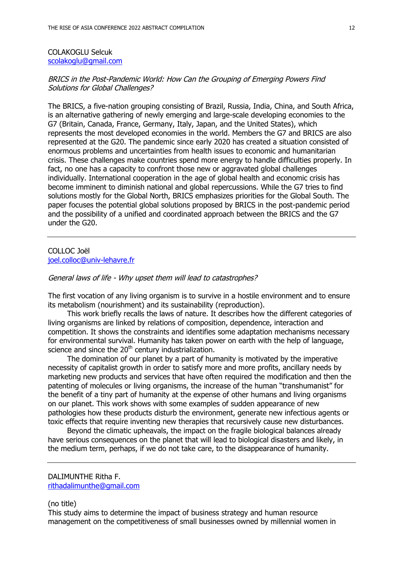### COLAKOGLU Selcuk scolakoglu@gmail.com

## BRICS in the Post-Pandemic World: How Can the Grouping of Emerging Powers Find Solutions for Global Challenges?

The BRICS, a five-nation grouping consisting of Brazil, Russia, India, China, and South Africa, is an alternative gathering of newly emerging and large-scale developing economies to the G7 (Britain, Canada, France, Germany, Italy, Japan, and the United States), which represents the most developed economies in the world. Members the G7 and BRICS are also represented at the G20. The pandemic since early 2020 has created a situation consisted of enormous problems and uncertainties from health issues to economic and humanitarian crisis. These challenges make countries spend more energy to handle difficulties properly. In fact, no one has a capacity to confront those new or aggravated global challenges individually. International cooperation in the age of global health and economic crisis has become imminent to diminish national and global repercussions. While the G7 tries to find solutions mostly for the Global North, BRICS emphasizes priorities for the Global South. The paper focuses the potential global solutions proposed by BRICS in the post-pandemic period and the possibility of a unified and coordinated approach between the BRICS and the G7 under the G20.

### COLLOC Joël joel.colloc@univ-lehavre.fr

### General laws of life - Why upset them will lead to catastrophes?

The first vocation of any living organism is to survive in a hostile environment and to ensure its metabolism (nourishment) and its sustainability (reproduction).

This work briefly recalls the laws of nature. It describes how the different categories of living organisms are linked by relations of composition, dependence, interaction and competition. It shows the constraints and identifies some adaptation mechanisms necessary for environmental survival. Humanity has taken power on earth with the help of language, science and since the  $20<sup>th</sup>$  century industrialization.

The domination of our planet by a part of humanity is motivated by the imperative necessity of capitalist growth in order to satisfy more and more profits, ancillary needs by marketing new products and services that have often required the modification and then the patenting of molecules or living organisms, the increase of the human "transhumanist" for the benefit of a tiny part of humanity at the expense of other humans and living organisms on our planet. This work shows with some examples of sudden appearance of new pathologies how these products disturb the environment, generate new infectious agents or toxic effects that require inventing new therapies that recursively cause new disturbances.

Beyond the climatic upheavals, the impact on the fragile biological balances already have serious consequences on the planet that will lead to biological disasters and likely, in the medium term, perhaps, if we do not take care, to the disappearance of humanity.

### (no title)

This study aims to determine the impact of business strategy and human resource management on the competitiveness of small businesses owned by millennial women in

DALIMUNTHE Ritha F. rithadalimunthe@gmail.com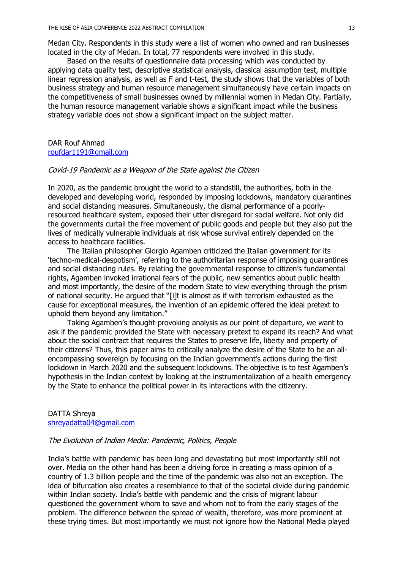Medan City. Respondents in this study were a list of women who owned and ran businesses located in the city of Medan. In total, 77 respondents were involved in this study.

Based on the results of questionnaire data processing which was conducted by applying data quality test, descriptive statistical analysis, classical assumption test, multiple linear regression analysis, as well as F and t-test, the study shows that the variables of both business strategy and human resource management simultaneously have certain impacts on the competitiveness of small businesses owned by millennial women in Medan City. Partially, the human resource management variable shows a significant impact while the business strategy variable does not show a significant impact on the subject matter.

# DAR Rouf Ahmad roufdar1191@gmail.com

### Covid-19 Pandemic as a Weapon of the State against the Citizen

In 2020, as the pandemic brought the world to a standstill, the authorities, both in the developed and developing world, responded by imposing lockdowns, mandatory quarantines and social distancing measures. Simultaneously, the dismal performance of a poorlyresourced healthcare system, exposed their utter disregard for social welfare. Not only did the governments curtail the free movement of public goods and people but they also put the lives of medically vulnerable individuals at risk whose survival entirely depended on the access to healthcare facilities.

The Italian philosopher Giorgio Agamben criticized the Italian government for its 'techno-medical-despotism', referring to the authoritarian response of imposing quarantines and social distancing rules. By relating the governmental response to citizen's fundamental rights, Agamben invoked irrational fears of the public, new semantics about public health and most importantly, the desire of the modern State to view everything through the prism of national security. He argued that "[i]t is almost as if with terrorism exhausted as the cause for exceptional measures, the invention of an epidemic offered the ideal pretext to uphold them beyond any limitation."

Taking Agamben's thought-provoking analysis as our point of departure, we want to ask if the pandemic provided the State with necessary pretext to expand its reach? And what about the social contract that requires the States to preserve life, liberty and property of their citizens? Thus, this paper aims to critically analyze the desire of the State to be an allencompassing sovereign by focusing on the Indian government's actions during the first lockdown in March 2020 and the subsequent lockdowns. The objective is to test Agamben's hypothesis in the Indian context by looking at the instrumentalization of a health emergency by the State to enhance the political power in its interactions with the citizenry.

### DATTA Shreya shreyadatta04@gmail.com

### The Evolution of Indian Media: Pandemic, Politics, People

India's battle with pandemic has been long and devastating but most importantly still not over. Media on the other hand has been a driving force in creating a mass opinion of a country of 1.3 billion people and the time of the pandemic was also not an exception. The idea of bifurcation also creates a resemblance to that of the societal divide during pandemic within Indian society. India's battle with pandemic and the crisis of migrant labour questioned the government whom to save and whom not to from the early stages of the problem. The difference between the spread of wealth, therefore, was more prominent at these trying times. But most importantly we must not ignore how the National Media played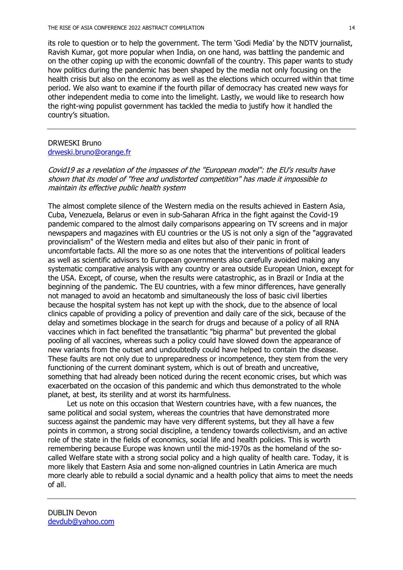its role to question or to help the government. The term 'Godi Media' by the NDTV journalist, Ravish Kumar, got more popular when India, on one hand, was battling the pandemic and on the other coping up with the economic downfall of the country. This paper wants to study how politics during the pandemic has been shaped by the media not only focusing on the health crisis but also on the economy as well as the elections which occurred within that time period. We also want to examine if the fourth pillar of democracy has created new ways for other independent media to come into the limelight. Lastly, we would like to research how the right-wing populist government has tackled the media to justify how it handled the country's situation.

# DRWESKI Bruno drweski.bruno@orange.fr

Covid19 as a revelation of the impasses of the "European model": the EU's results have shown that its model of "free and undistorted competition" has made it impossible to maintain its effective public health system

The almost complete silence of the Western media on the results achieved in Eastern Asia, Cuba, Venezuela, Belarus or even in sub-Saharan Africa in the fight against the Covid-19 pandemic compared to the almost daily comparisons appearing on TV screens and in major newspapers and magazines with EU countries or the US is not only a sign of the "aggravated provincialism" of the Western media and elites but also of their panic in front of uncomfortable facts. All the more so as one notes that the interventions of political leaders as well as scientific advisors to European governments also carefully avoided making any systematic comparative analysis with any country or area outside European Union, except for the USA. Except, of course, when the results were catastrophic, as in Brazil or India at the beginning of the pandemic. The EU countries, with a few minor differences, have generally not managed to avoid an hecatomb and simultaneously the loss of basic civil liberties because the hospital system has not kept up with the shock, due to the absence of local clinics capable of providing a policy of prevention and daily care of the sick, because of the delay and sometimes blockage in the search for drugs and because of a policy of all RNA vaccines which in fact benefited the transatlantic "big pharma" but prevented the global pooling of all vaccines, whereas such a policy could have slowed down the appearance of new variants from the outset and undoubtedly could have helped to contain the disease. These faults are not only due to unpreparedness or incompetence, they stem from the very functioning of the current dominant system, which is out of breath and uncreative, something that had already been noticed during the recent economic crises, but which was exacerbated on the occasion of this pandemic and which thus demonstrated to the whole planet, at best, its sterility and at worst its harmfulness.

Let us note on this occasion that Western countries have, with a few nuances, the same political and social system, whereas the countries that have demonstrated more success against the pandemic may have very different systems, but they all have a few points in common, a strong social discipline, a tendency towards collectivism, and an active role of the state in the fields of economics, social life and health policies. This is worth remembering because Europe was known until the mid-1970s as the homeland of the socalled Welfare state with a strong social policy and a high quality of health care. Today, it is more likely that Eastern Asia and some non-aligned countries in Latin America are much more clearly able to rebuild a social dynamic and a health policy that aims to meet the needs of all.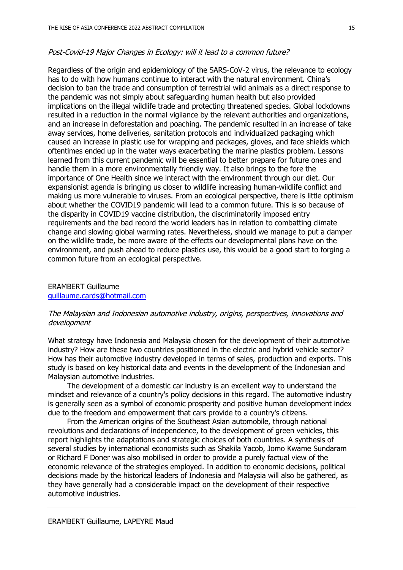### Post-Covid-19 Major Changes in Ecology: will it lead to a common future?

Regardless of the origin and epidemiology of the SARS-CoV-2 virus, the relevance to ecology has to do with how humans continue to interact with the natural environment. China's decision to ban the trade and consumption of terrestrial wild animals as a direct response to the pandemic was not simply about safeguarding human health but also provided implications on the illegal wildlife trade and protecting threatened species. Global lockdowns resulted in a reduction in the normal vigilance by the relevant authorities and organizations, and an increase in deforestation and poaching. The pandemic resulted in an increase of take away services, home deliveries, sanitation protocols and individualized packaging which caused an increase in plastic use for wrapping and packages, gloves, and face shields which oftentimes ended up in the water ways exacerbating the marine plastics problem. Lessons learned from this current pandemic will be essential to better prepare for future ones and handle them in a more environmentally friendly way. It also brings to the fore the importance of One Health since we interact with the environment through our diet. Our expansionist agenda is bringing us closer to wildlife increasing human-wildlife conflict and making us more vulnerable to viruses. From an ecological perspective, there is little optimism about whether the COVID19 pandemic will lead to a common future. This is so because of the disparity in COVID19 vaccine distribution, the discriminatorily imposed entry requirements and the bad record the world leaders has in relation to combatting climate change and slowing global warming rates. Nevertheless, should we manage to put a damper on the wildlife trade, be more aware of the effects our developmental plans have on the environment, and push ahead to reduce plastics use, this would be a good start to forging a common future from an ecological perspective.

# ERAMBERT Guillaume guillaume.cards@hotmail.com

### The Malaysian and Indonesian automotive industry, origins, perspectives, innovations and development

What strategy have Indonesia and Malaysia chosen for the development of their automotive industry? How are these two countries positioned in the electric and hybrid vehicle sector? How has their automotive industry developed in terms of sales, production and exports. This study is based on key historical data and events in the development of the Indonesian and Malaysian automotive industries.

The development of a domestic car industry is an excellent way to understand the mindset and relevance of a country's policy decisions in this regard. The automotive industry is generally seen as a symbol of economic prosperity and positive human development index due to the freedom and empowerment that cars provide to a country's citizens.

From the American origins of the Southeast Asian automobile, through national revolutions and declarations of independence, to the development of green vehicles, this report highlights the adaptations and strategic choices of both countries. A synthesis of several studies by international economists such as Shakila Yacob, Jomo Kwame Sundaram or Richard F Doner was also mobilised in order to provide a purely factual view of the economic relevance of the strategies employed. In addition to economic decisions, political decisions made by the historical leaders of Indonesia and Malaysia will also be gathered, as they have generally had a considerable impact on the development of their respective automotive industries.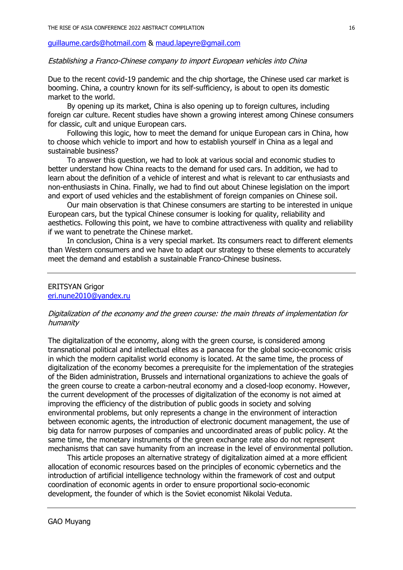### guillaume.cards@hotmail.com & maud.lapeyre@gmail.com

### Establishing a Franco-Chinese company to import European vehicles into China

Due to the recent covid-19 pandemic and the chip shortage, the Chinese used car market is booming. China, a country known for its self-sufficiency, is about to open its domestic market to the world.

By opening up its market, China is also opening up to foreign cultures, including foreign car culture. Recent studies have shown a growing interest among Chinese consumers for classic, cult and unique European cars.

Following this logic, how to meet the demand for unique European cars in China, how to choose which vehicle to import and how to establish yourself in China as a legal and sustainable business?

To answer this question, we had to look at various social and economic studies to better understand how China reacts to the demand for used cars. In addition, we had to learn about the definition of a vehicle of interest and what is relevant to car enthusiasts and non-enthusiasts in China. Finally, we had to find out about Chinese legislation on the import and export of used vehicles and the establishment of foreign companies on Chinese soil.

Our main observation is that Chinese consumers are starting to be interested in unique European cars, but the typical Chinese consumer is looking for quality, reliability and aesthetics. Following this point, we have to combine attractiveness with quality and reliability if we want to penetrate the Chinese market.

In conclusion, China is a very special market. Its consumers react to different elements than Western consumers and we have to adapt our strategy to these elements to accurately meet the demand and establish a sustainable Franco-Chinese business.

#### ERITSYAN Grigor eri.nune2010@yandex.ru

### Digitalization of the economy and the green course: the main threats of implementation for humanity

The digitalization of the economy, along with the green course, is considered among transnational political and intellectual elites as a panacea for the global socio-economic crisis in which the modern capitalist world economy is located. At the same time, the process of digitalization of the economy becomes a prerequisite for the implementation of the strategies of the Biden administration, Brussels and international organizations to achieve the goals of the green course to create a carbon-neutral economy and a closed-loop economy. However, the current development of the processes of digitalization of the economy is not aimed at improving the efficiency of the distribution of public goods in society and solving environmental problems, but only represents a change in the environment of interaction between economic agents, the introduction of electronic document management, the use of big data for narrow purposes of companies and uncoordinated areas of public policy. At the same time, the monetary instruments of the green exchange rate also do not represent mechanisms that can save humanity from an increase in the level of environmental pollution.

This article proposes an alternative strategy of digitalization aimed at a more efficient allocation of economic resources based on the principles of economic cybernetics and the introduction of artificial intelligence technology within the framework of cost and output coordination of economic agents in order to ensure proportional socio-economic development, the founder of which is the Soviet economist Nikolai Veduta.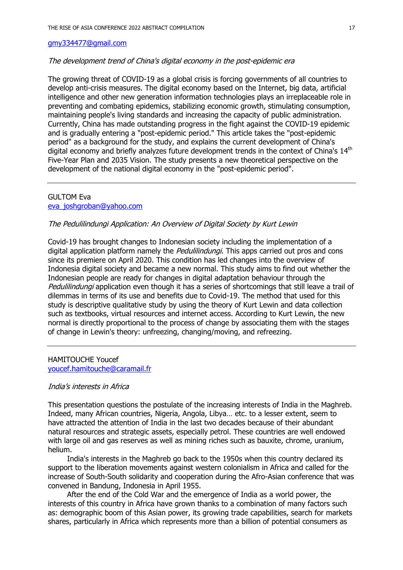### gmy334477@gmail.com

#### The development trend of China's digital economy in the post-epidemic era

The growing threat of COVID-19 as a global crisis is forcing governments of all countries to develop anti-crisis measures. The digital economy based on the Internet, big data, artificial intelligence and other new generation information technologies plays an irreplaceable role in preventing and combating epidemics, stabilizing economic growth, stimulating consumption, maintaining people's living standards and increasing the capacity of public administration. Currently, China has made outstanding progress in the fight against the COVID-19 epidemic and is gradually entering a "post-epidemic period." This article takes the "post-epidemic period" as a background for the study, and explains the current development of China's digital economy and briefly analyzes future development trends in the context of China's  $14<sup>th</sup>$ Five-Year Plan and 2035 Vision. The study presents a new theoretical perspective on the development of the national digital economy in the "post-epidemic period".

#### GULTOM Eva

#### eva\_joshgroban@yahoo.com

### The Pedulilindungi Application: An Overview of Digital Society by Kurt Lewin

Covid-19 has brought changes to Indonesian society including the implementation of a digital application platform namely the *Pedulilindungi*. This apps carried out pros and cons since its premiere on April 2020. This condition has led changes into the overview of Indonesia digital society and became a new normal. This study aims to find out whether the Indonesian people are ready for changes in digital adaptation behaviour through the Pedulilindungi application even though it has a series of shortcomings that still leave a trail of dilemmas in terms of its use and benefits due to Covid-19. The method that used for this study is descriptive qualitative study by using the theory of Kurt Lewin and data collection such as textbooks, virtual resources and internet access. According to Kurt Lewin, the new normal is directly proportional to the process of change by associating them with the stages of change in Lewin's theory: unfreezing, changing/moving, and refreezing.

### HAMITOUCHE Youcef youcef.hamitouche@caramail.fr

#### India's interests in Africa

This presentation questions the postulate of the increasing interests of India in the Maghreb. Indeed, many African countries, Nigeria, Angola, Libya… etc. to a lesser extent, seem to have attracted the attention of India in the last two decades because of their abundant natural resources and strategic assets, especially petrol. These countries are well endowed with large oil and gas reserves as well as mining riches such as bauxite, chrome, uranium, helium.

India's interests in the Maghreb go back to the 1950s when this country declared its support to the liberation movements against western colonialism in Africa and called for the increase of South-South solidarity and cooperation during the Afro-Asian conference that was convened in Bandung, Indonesia in April 1955.

After the end of the Cold War and the emergence of India as a world power, the interests of this country in Africa have grown thanks to a combination of many factors such as: demographic boom of this Asian power, its growing trade capabilities, search for markets shares, particularly in Africa which represents more than a billion of potential consumers as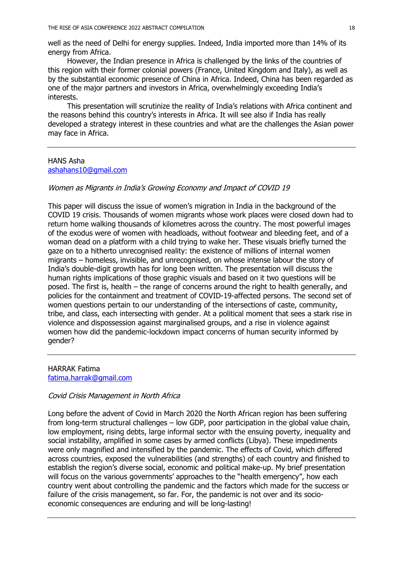well as the need of Delhi for energy supplies. Indeed, India imported more than 14% of its energy from Africa.

However, the Indian presence in Africa is challenged by the links of the countries of this region with their former colonial powers (France, United Kingdom and Italy), as well as by the substantial economic presence of China in Africa. Indeed, China has been regarded as one of the major partners and investors in Africa, overwhelmingly exceeding India's interests.

This presentation will scrutinize the reality of India's relations with Africa continent and the reasons behind this country's interests in Africa. It will see also if India has really developed a strategy interest in these countries and what are the challenges the Asian power may face in Africa.

### HANS Asha ashahans10@gmail.com

#### Women as Migrants in India's Growing Economy and Impact of COVID 19

This paper will discuss the issue of women's migration in India in the background of the COVID 19 crisis. Thousands of women migrants whose work places were closed down had to return home walking thousands of kilometres across the country. The most powerful images of the exodus were of women with headloads, without footwear and bleeding feet, and of a woman dead on a platform with a child trying to wake her. These visuals briefly turned the gaze on to a hitherto unrecognised reality: the existence of millions of internal women migrants – homeless, invisible, and unrecognised, on whose intense labour the story of India's double-digit growth has for long been written. The presentation will discuss the human rights implications of those graphic visuals and based on it two questions will be posed. The first is, health – the range of concerns around the right to health generally, and policies for the containment and treatment of COVID-19-affected persons. The second set of women questions pertain to our understanding of the intersections of caste, community, tribe, and class, each intersecting with gender. At a political moment that sees a stark rise in violence and dispossession against marginalised groups, and a rise in violence against women how did the pandemic-lockdown impact concerns of human security informed by gender?

HARRAK Fatima fatima.harrak@gmail.com

## Covid Crisis Management in North Africa

Long before the advent of Covid in March 2020 the North African region has been suffering from long-term structural challenges – low GDP, poor participation in the global value chain, low employment, rising debts, large informal sector with the ensuing poverty, inequality and social instability, amplified in some cases by armed conflicts (Libya). These impediments were only magnified and intensified by the pandemic. The effects of Covid, which differed across countries, exposed the vulnerabilities (and strengths) of each country and finished to establish the region's diverse social, economic and political make-up. My brief presentation will focus on the various governments' approaches to the "health emergency", how each country went about controlling the pandemic and the factors which made for the success or failure of the crisis management, so far. For, the pandemic is not over and its socioeconomic consequences are enduring and will be long-lasting!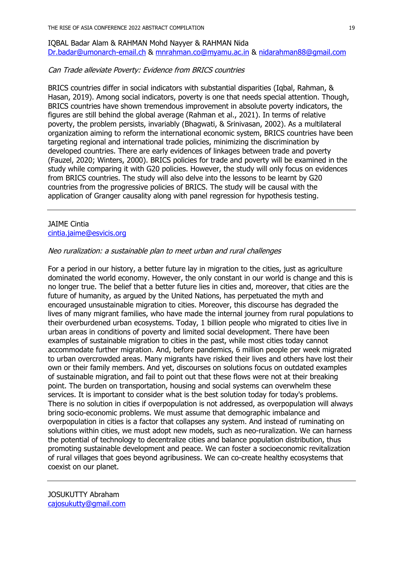IQBAL Badar Alam & RAHMAN Mohd Nayyer & RAHMAN Nida Dr.badar@umonarch-email.ch & mnrahman.co@myamu.ac.in & nidarahman88@gmail.com

## Can Trade alleviate Poverty: Evidence from BRICS countries

BRICS countries differ in social indicators with substantial disparities (Iqbal, Rahman, & Hasan, 2019). Among social indicators, poverty is one that needs special attention. Though, BRICS countries have shown tremendous improvement in absolute poverty indicators, the figures are still behind the global average (Rahman et al., 2021). In terms of relative poverty, the problem persists, invariably (Bhagwati, & Srinivasan, 2002). As a multilateral organization aiming to reform the international economic system, BRICS countries have been targeting regional and international trade policies, minimizing the discrimination by developed countries. There are early evidences of linkages between trade and poverty (Fauzel, 2020; Winters, 2000). BRICS policies for trade and poverty will be examined in the study while comparing it with G20 policies. However, the study will only focus on evidences from BRICS countries. The study will also delve into the lessons to be learnt by G20 countries from the progressive policies of BRICS. The study will be causal with the application of Granger causality along with panel regression for hypothesis testing.

#### JAIME Cintia cintia.jaime@esvicis.org

## Neo ruralization: a sustainable plan to meet urban and rural challenges

For a period in our history, a better future lay in migration to the cities, just as agriculture dominated the world economy. However, the only constant in our world is change and this is no longer true. The belief that a better future lies in cities and, moreover, that cities are the future of humanity, as argued by the United Nations, has perpetuated the myth and encouraged unsustainable migration to cities. Moreover, this discourse has degraded the lives of many migrant families, who have made the internal journey from rural populations to their overburdened urban ecosystems. Today, 1 billion people who migrated to cities live in urban areas in conditions of poverty and limited social development. There have been examples of sustainable migration to cities in the past, while most cities today cannot accommodate further migration. And, before pandemics, 6 million people per week migrated to urban overcrowded areas. Many migrants have risked their lives and others have lost their own or their family members. And yet, discourses on solutions focus on outdated examples of sustainable migration, and fail to point out that these flows were not at their breaking point. The burden on transportation, housing and social systems can overwhelm these services. It is important to consider what is the best solution today for today's problems. There is no solution in cities if overpopulation is not addressed, as overpopulation will always bring socio-economic problems. We must assume that demographic imbalance and overpopulation in cities is a factor that collapses any system. And instead of ruminating on solutions within cities, we must adopt new models, such as neo-ruralization. We can harness the potential of technology to decentralize cities and balance population distribution, thus promoting sustainable development and peace. We can foster a socioeconomic revitalization of rural villages that goes beyond agribusiness. We can co-create healthy ecosystems that coexist on our planet.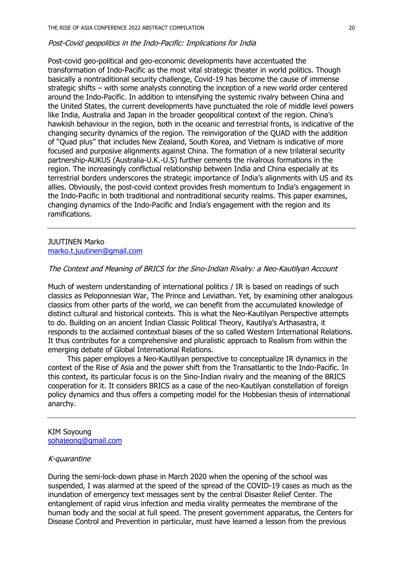#### Post-Covid geopolitics in the Indo-Pacific: Implications for India

Post-covid geo-political and geo-economic developments have accentuated the transformation of Indo-Pacific as the most vital strategic theater in world politics. Though basically a nontraditional security challenge, Covid-19 has become the cause of immense strategic shifts – with some analysts connoting the inception of a new world order centered around the Indo-Pacific. In addition to intensifying the systemic rivalry between China and the United States, the current developments have punctuated the role of middle level powers like India, Australia and Japan in the broader geopolitical context of the region. China's hawkish behaviour in the region, both in the oceanic and terrestrial fronts, is indicative of the changing security dynamics of the region. The reinvigoration of the QUAD with the addition of "Quad plus'' that includes New Zealand, South Korea, and Vietnam is indicative of more focused and purposive alignments against China. The formation of a new trilateral security partnership-AUKUS (Australia-U.K.-U.S) further cements the rivalrous formations in the region. The increasingly conflictual relationship between India and China especially at its terrestrial borders underscores the strategic importance of India's alignments with US and its allies. Obviously, the post-covid context provides fresh momentum to India's engagement in the Indo-Pacific in both traditional and nontraditional security realms. This paper examines, changing dynamics of the Indo-Pacific and India's engagement with the region and its ramifications.

## JUUTINEN Marko marko.t.juutinen@gmail.com

#### The Context and Meaning of BRICS for the Sino-Indian Rivalry: a Neo-Kautilyan Account

Much of western understanding of international politics / IR is based on readings of such classics as Peloponnesian War, The Prince and Leviathan. Yet, by examining other analogous classics from other parts of the world, we can benefit from the accumulated knowledge of distinct cultural and historical contexts. This is what the Neo-Kautilyan Perspective attempts to do. Building on an ancient Indian Classic Political Theory, Kautilya's Arthasastra, it responds to the acclaimed contextual biases of the so called Western International Relations. It thus contributes for a comprehensive and pluralistic approach to Realism from within the emerging debate of Global International Relations.

This paper employes a Neo-Kautilyan perspective to conceptualize IR dynamics in the context of the Rise of Asia and the power shift from the Transatlantic to the Indo-Pacific. In this context, its particular focus is on the Sino-Indian rivalry and the meaning of the BRICS cooperation for it. It considers BRICS as a case of the neo-Kautilyan constellation of foreign policy dynamics and thus offers a competing model for the Hobbesian thesis of international anarchy.

#### KIM Soyoung sohajeong@gmail.com

#### K-quarantine

During the semi-lock-down phase in March 2020 when the opening of the school was suspended, I was alarmed at the speed of the spread of the COVID-19 cases as much as the inundation of emergency text messages sent by the central Disaster Relief Center. The entanglement of rapid virus infection and media virality permeates the membrane of the human body and the social at full speed. The present government apparatus, the Centers for Disease Control and Prevention in particular, must have learned a lesson from the previous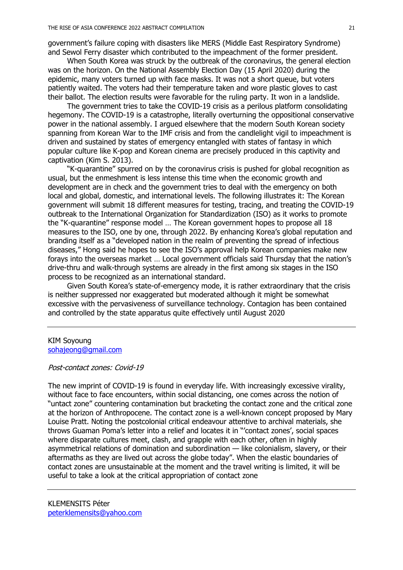government's failure coping with disasters like MERS (Middle East Respiratory Syndrome) and Sewol Ferry disaster which contributed to the impeachment of the former president.

When South Korea was struck by the outbreak of the coronavirus, the general election was on the horizon. On the National Assembly Election Day (15 April 2020) during the epidemic, many voters turned up with face masks. It was not a short queue, but voters patiently waited. The voters had their temperature taken and wore plastic gloves to cast their ballot. The election results were favorable for the ruling party. It won in a landslide.

The government tries to take the COVID-19 crisis as a perilous platform consolidating hegemony. The COVID-19 is a catastrophe, literally overturning the oppositional conservative power in the national assembly. I argued elsewhere that the modern South Korean society spanning from Korean War to the IMF crisis and from the candlelight vigil to impeachment is driven and sustained by states of emergency entangled with states of fantasy in which popular culture like K-pop and Korean cinema are precisely produced in this captivity and captivation (Kim S. 2013).

"K-quarantine" spurred on by the coronavirus crisis is pushed for global recognition as usual, but the enmeshment is less intense this time when the economic growth and development are in check and the government tries to deal with the emergency on both local and global, domestic, and international levels. The following illustrates it: The Korean government will submit 18 different measures for testing, tracing, and treating the COVID-19 outbreak to the International Organization for Standardization (ISO) as it works to promote the "K-quarantine" response model … The Korean government hopes to propose all 18 measures to the ISO, one by one, through 2022. By enhancing Korea's global reputation and branding itself as a "developed nation in the realm of preventing the spread of infectious diseases," Hong said he hopes to see the ISO's approval help Korean companies make new forays into the overseas market … Local government officials said Thursday that the nation's drive-thru and walk-through systems are already in the first among six stages in the ISO process to be recognized as an international standard.

Given South Korea's state-of-emergency mode, it is rather extraordinary that the crisis is neither suppressed nor exaggerated but moderated although it might be somewhat excessive with the pervasiveness of surveillance technology. Contagion has been contained and controlled by the state apparatus quite effectively until August 2020

### KIM Soyoung sohajeong@gmail.com

### Post-contact zones: Covid-19

The new imprint of COVID-19 is found in everyday life. With increasingly excessive virality, without face to face encounters, within social distancing, one comes across the notion of "untact zone" countering contamination but bracketing the contact zone and the critical zone at the horizon of Anthropocene. The contact zone is a well-known concept proposed by Mary Louise Pratt. Noting the postcolonial critical endeavour attentive to archival materials, she throws Guaman Poma's letter into a relief and locates it in "'contact zones', social spaces where disparate cultures meet, clash, and grapple with each other, often in highly asymmetrical relations of domination and subordination — like colonialism, slavery, or their aftermaths as they are lived out across the globe today". When the elastic boundaries of contact zones are unsustainable at the moment and the travel writing is limited, it will be useful to take a look at the critical appropriation of contact zone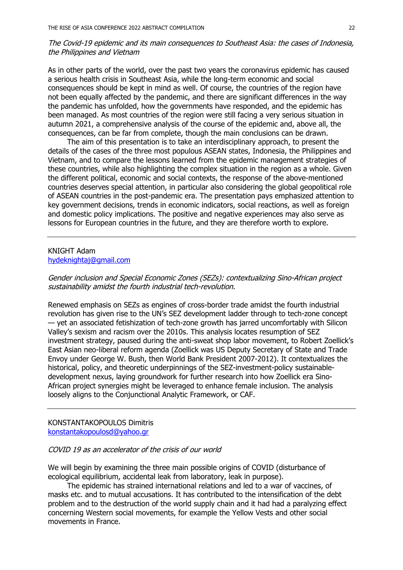# The Covid-19 epidemic and its main consequences to Southeast Asia: the cases of Indonesia, the Philippines and Vietnam

As in other parts of the world, over the past two years the coronavirus epidemic has caused a serious health crisis in Southeast Asia, while the long-term economic and social consequences should be kept in mind as well. Of course, the countries of the region have not been equally affected by the pandemic, and there are significant differences in the way the pandemic has unfolded, how the governments have responded, and the epidemic has been managed. As most countries of the region were still facing a very serious situation in autumn 2021, a comprehensive analysis of the course of the epidemic and, above all, the consequences, can be far from complete, though the main conclusions can be drawn.

The aim of this presentation is to take an interdisciplinary approach, to present the details of the cases of the three most populous ASEAN states, Indonesia, the Philippines and Vietnam, and to compare the lessons learned from the epidemic management strategies of these countries, while also highlighting the complex situation in the region as a whole. Given the different political, economic and social contexts, the response of the above-mentioned countries deserves special attention, in particular also considering the global geopolitical role of ASEAN countries in the post-pandemic era. The presentation pays emphasized attention to key government decisions, trends in economic indicators, social reactions, as well as foreign and domestic policy implications. The positive and negative experiences may also serve as lessons for European countries in the future, and they are therefore worth to explore.

### KNIGHT Adam hydeknightaj@gmail.com

## Gender inclusion and Special Economic Zones (SEZs): contextualizing Sino-African project sustainability amidst the fourth industrial tech-revolution.

Renewed emphasis on SEZs as engines of cross-border trade amidst the fourth industrial revolution has given rise to the UN's SEZ development ladder through to tech-zone concept — yet an associated fetishization of tech-zone growth has jarred uncomfortably with Silicon Valley's sexism and racism over the 2010s. This analysis locates resumption of SEZ investment strategy, paused during the anti-sweat shop labor movement, to Robert Zoellick's East Asian neo-liberal reform agenda (Zoellick was US Deputy Secretary of State and Trade Envoy under George W. Bush, then World Bank President 2007-2012). It contextualizes the historical, policy, and theoretic underpinnings of the SEZ-investment-policy sustainabledevelopment nexus, laying groundwork for further research into how Zoellick era Sino-African project synergies might be leveraged to enhance female inclusion. The analysis loosely aligns to the Conjunctional Analytic Framework, or CAF.

#### KONSTANTAKOPOULOS Dimitris konstantakopoulosd@yahoo.gr

### COVID 19 as an accelerator of the crisis of our world

We will begin by examining the three main possible origins of COVID (disturbance of ecological equilibrium, accidental leak from laboratory, leak in purpose).

The epidemic has strained international relations and led to a war of vaccines, of masks etc. and to mutual accusations. It has contributed to the intensification of the debt problem and to the destruction of the world supply chain and it had had a paralyzing effect concerning Western social movements, for example the Yellow Vests and other social movements in France.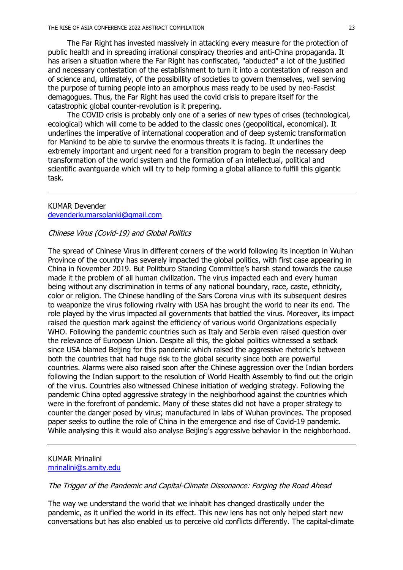The Far Right has invested massively in attacking every measure for the protection of public health and in spreading irrational conspiracy theories and anti-China propaganda. It has arisen a situation where the Far Right has confiscated, "abducted" a lot of the justified and necessary contestation of the establishment to turn it into a contestation of reason and of science and, ultimately, of the possibillity of societies to govern themselves, well serving the purpose of turning people into an amorphous mass ready to be used by neo-Fascist demagogues. Thus, the Far Right has used the covid crisis to prepare itself for the catastrophic global counter-revolution is it prepering.

The COVID crisis is probably only one of a series of new types of crises (technological, ecological) which will come to be added to the classic ones (geopolitical, economical). It underlines the imperative of international cooperation and of deep systemic transformation for Mankind to be able to survive the enormous threats it is facing. It underlines the extremely important and urgent need for a transition program to begin the necessary deep transformation of the world system and the formation of an intellectual, political and scientific avantguarde which will try to help forming a global alliance to fulfill this gigantic task.

#### KUMAR Devender devenderkumarsolanki@gmail.com

#### Chinese Virus (Covid-19) and Global Politics

The spread of Chinese Virus in different corners of the world following its inception in Wuhan Province of the country has severely impacted the global politics, with first case appearing in China in November 2019. But Politburo Standing Committee's harsh stand towards the cause made it the problem of all human civilization. The virus impacted each and every human being without any discrimination in terms of any national boundary, race, caste, ethnicity, color or religion. The Chinese handling of the Sars Corona virus with its subsequent desires to weaponize the virus following rivalry with USA has brought the world to near its end. The role played by the virus impacted all governments that battled the virus. Moreover, its impact raised the question mark against the efficiency of various world Organizations especially WHO. Following the pandemic countries such as Italy and Serbia even raised question over the relevance of European Union. Despite all this, the global politics witnessed a setback since USA blamed Beijing for this pandemic which raised the aggressive rhetoric's between both the countries that had huge risk to the global security since both are powerful countries. Alarms were also raised soon after the Chinese aggression over the Indian borders following the Indian support to the resolution of World Health Assembly to find out the origin of the virus. Countries also witnessed Chinese initiation of wedging strategy. Following the pandemic China opted aggressive strategy in the neighborhood against the countries which were in the forefront of pandemic. Many of these states did not have a proper strategy to counter the danger posed by virus; manufactured in labs of Wuhan provinces. The proposed paper seeks to outline the role of China in the emergence and rise of Covid-19 pandemic. While analysing this it would also analyse Beijing's aggressive behavior in the neighborhood.

### KUMAR Mrinalini mrinalini@s.amity.edu

## The Trigger of the Pandemic and Capital-Climate Dissonance: Forging the Road Ahead

The way we understand the world that we inhabit has changed drastically under the pandemic, as it unified the world in its effect. This new lens has not only helped start new conversations but has also enabled us to perceive old conflicts differently. The capital-climate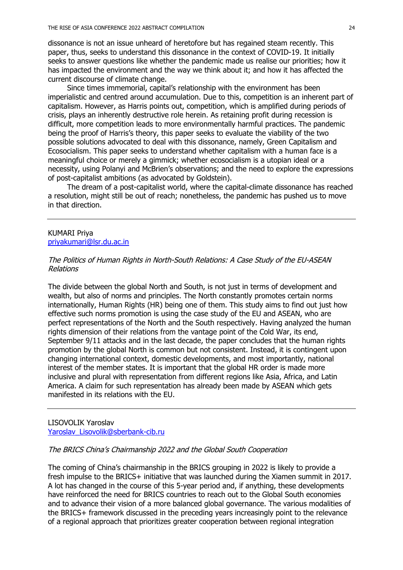dissonance is not an issue unheard of heretofore but has regained steam recently. This paper, thus, seeks to understand this dissonance in the context of COVID-19. It initially seeks to answer questions like whether the pandemic made us realise our priorities; how it has impacted the environment and the way we think about it; and how it has affected the current discourse of climate change.

Since times immemorial, capital's relationship with the environment has been imperialistic and centred around accumulation. Due to this, competition is an inherent part of capitalism. However, as Harris points out, competition, which is amplified during periods of crisis, plays an inherently destructive role herein. As retaining profit during recession is difficult, more competition leads to more environmentally harmful practices. The pandemic being the proof of Harris's theory, this paper seeks to evaluate the viability of the two possible solutions advocated to deal with this dissonance, namely, Green Capitalism and Ecosocialism. This paper seeks to understand whether capitalism with a human face is a meaningful choice or merely a gimmick; whether ecosocialism is a utopian ideal or a necessity, using Polanyi and McBrien's observations; and the need to explore the expressions of post-capitalist ambitions (as advocated by Goldstein).

The dream of a post-capitalist world, where the capital-climate dissonance has reached a resolution, might still be out of reach; nonetheless, the pandemic has pushed us to move in that direction.

## KUMARI Priya priyakumari@lsr.du.ac.in

## The Politics of Human Rights in North-South Relations: A Case Study of the EU-ASEAN Relations

The divide between the global North and South, is not just in terms of development and wealth, but also of norms and principles. The North constantly promotes certain norms internationally, Human Rights (HR) being one of them. This study aims to find out just how effective such norms promotion is using the case study of the EU and ASEAN, who are perfect representations of the North and the South respectively. Having analyzed the human rights dimension of their relations from the vantage point of the Cold War, its end, September 9/11 attacks and in the last decade, the paper concludes that the human rights promotion by the global North is common but not consistent. Instead, it is contingent upon changing international context, domestic developments, and most importantly, national interest of the member states. It is important that the global HR order is made more inclusive and plural with representation from different regions like Asia, Africa, and Latin America. A claim for such representation has already been made by ASEAN which gets manifested in its relations with the EU.

LISOVOLIK Yaroslav Yaroslav\_Lisovolik@sberbank-cib.ru

### The BRICS China's Chairmanship 2022 and the Global South Cooperation

The coming of China's chairmanship in the BRICS grouping in 2022 is likely to provide a fresh impulse to the BRICS+ initiative that was launched during the Xiamen summit in 2017. A lot has changed in the course of this 5-year period and, if anything, these developments have reinforced the need for BRICS countries to reach out to the Global South economies and to advance their vision of a more balanced global governance. The various modalities of the BRICS+ framework discussed in the preceding years increasingly point to the relevance of a regional approach that prioritizes greater cooperation between regional integration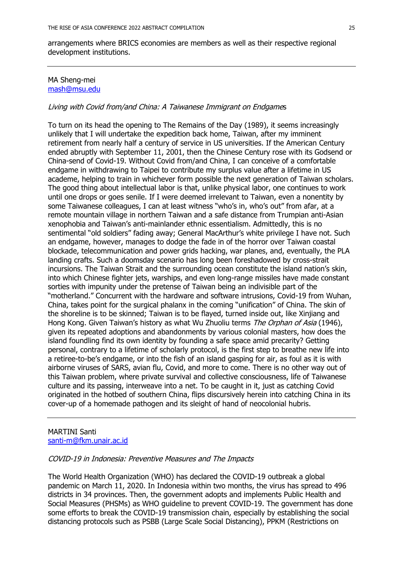arrangements where BRICS economies are members as well as their respective regional development institutions.

### MA Sheng-mei mash@msu.edu

## Living with Covid from/and China: A Taiwanese Immigrant on Endgames

To turn on its head the opening to The Remains of the Day (1989), it seems increasingly unlikely that I will undertake the expedition back home, Taiwan, after my imminent retirement from nearly half a century of service in US universities. If the American Century ended abruptly with September 11, 2001, then the Chinese Century rose with its Godsend or China-send of Covid-19. Without Covid from/and China, I can conceive of a comfortable endgame in withdrawing to Taipei to contribute my surplus value after a lifetime in US academe, helping to train in whichever form possible the next generation of Taiwan scholars. The good thing about intellectual labor is that, unlike physical labor, one continues to work until one drops or goes senile. If I were deemed irrelevant to Taiwan, even a nonentity by some Taiwanese colleagues, I can at least witness "who's in, who's out" from afar, at a remote mountain village in northern Taiwan and a safe distance from Trumpian anti-Asian xenophobia and Taiwan's anti-mainlander ethnic essentialism. Admittedly, this is no sentimental "old soldiers" fading away; General MacArthur's white privilege I have not. Such an endgame, however, manages to dodge the fade in of the horror over Taiwan coastal blockade, telecommunication and power grids hacking, war planes, and, eventually, the PLA landing crafts. Such a doomsday scenario has long been foreshadowed by cross-strait incursions. The Taiwan Strait and the surrounding ocean constitute the island nation's skin, into which Chinese fighter jets, warships, and even long-range missiles have made constant sorties with impunity under the pretense of Taiwan being an indivisible part of the "motherland." Concurrent with the hardware and software intrusions, Covid-19 from Wuhan, China, takes point for the surgical phalanx in the coming "unification" of China. The skin of the shoreline is to be skinned; Taiwan is to be flayed, turned inside out, like Xinjiang and Hong Kong. Given Taiwan's history as what Wu Zhuoliu terms *The Orphan of Asia* (1946), given its repeated adoptions and abandonments by various colonial masters, how does the island foundling find its own identity by founding a safe space amid precarity? Getting personal, contrary to a lifetime of scholarly protocol, is the first step to breathe new life into a retiree-to-be's endgame, or into the fish of an island gasping for air, as foul as it is with airborne viruses of SARS, avian flu, Covid, and more to come. There is no other way out of this Taiwan problem, where private survival and collective consciousness, life of Taiwanese culture and its passing, interweave into a net. To be caught in it, just as catching Covid originated in the hotbed of southern China, flips discursively herein into catching China in its cover-up of a homemade pathogen and its sleight of hand of neocolonial hubris.

#### MARTINI Santi santi-m@fkm.unair.ac.id

#### COVID-19 in Indonesia: Preventive Measures and The Impacts

The World Health Organization (WHO) has declared the COVID-19 outbreak a global pandemic on March 11, 2020. In Indonesia within two months, the virus has spread to 496 districts in 34 provinces. Then, the government adopts and implements Public Health and Social Measures (PHSMs) as WHO guideline to prevent COVID-19. The government has done some efforts to break the COVID-19 transmission chain, especially by establishing the social distancing protocols such as PSBB (Large Scale Social Distancing), PPKM (Restrictions on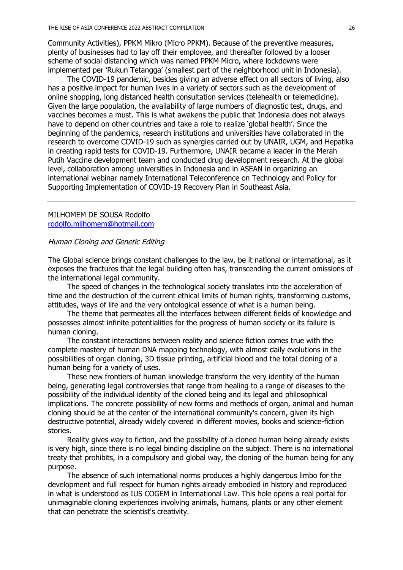Community Activities), PPKM Mikro (Micro PPKM). Because of the preventive measures, plenty of businesses had to lay off their employee, and thereafter followed by a looser scheme of social distancing which was named PPKM Micro, where lockdowns were implemented per 'Rukun Tetangga' (smallest part of the neighborhood unit in Indonesia).

The COVID-19 pandemic, besides giving an adverse effect on all sectors of living, also has a positive impact for human lives in a variety of sectors such as the development of online shopping, long distanced health consultation services (telehealth or telemedicine). Given the large population, the availability of large numbers of diagnostic test, drugs, and vaccines becomes a must. This is what awakens the public that Indonesia does not always have to depend on other countries and take a role to realize 'global health'. Since the beginning of the pandemics, research institutions and universities have collaborated in the research to overcome COVID-19 such as synergies carried out by UNAIR, UGM, and Hepatika in creating rapid tests for COVID-19. Furthermore, UNAIR became a leader in the Merah Putih Vaccine development team and conducted drug development research. At the global level, collaboration among universities in Indonesia and in ASEAN in organizing an international webinar namely International Teleconference on Technology and Policy for Supporting Implementation of COVID-19 Recovery Plan in Southeast Asia.

### MILHOMEM DE SOUSA Rodolfo rodolfo.milhomem@hotmail.com

# Human Cloning and Genetic Editing

The Global science brings constant challenges to the law, be it national or international, as it exposes the fractures that the legal building often has, transcending the current omissions of the international legal community.

The speed of changes in the technological society translates into the acceleration of time and the destruction of the current ethical limits of human rights, transforming customs, attitudes, ways of life and the very ontological essence of what is a human being.

The theme that permeates all the interfaces between different fields of knowledge and possesses almost infinite potentialities for the progress of human society or its failure is human cloning.

The constant interactions between reality and science fiction comes true with the complete mastery of human DNA mapping technology, with almost daily evolutions in the possibilities of organ cloning, 3D tissue printing, artificial blood and the total cloning of a human being for a variety of uses.

These new frontiers of human knowledge transform the very identity of the human being, generating legal controversies that range from healing to a range of diseases to the possibility of the individual identity of the cloned being and its legal and philosophical implications. The concrete possibility of new forms and methods of organ, animal and human cloning should be at the center of the international community's concern, given its high destructive potential, already widely covered in different movies, books and science-fiction stories.

Reality gives way to fiction, and the possibility of a cloned human being already exists is very high, since there is no legal binding discipline on the subject. There is no international treaty that prohibits, in a compulsory and global way, the cloning of the human being for any purpose.

The absence of such international norms produces a highly dangerous limbo for the development and full respect for human rights already embodied in history and reproduced in what is understood as IUS COGEM in International Law. This hole opens a real portal for unimaginable cloning experiences involving animals, humans, plants or any other element that can penetrate the scientist's creativity.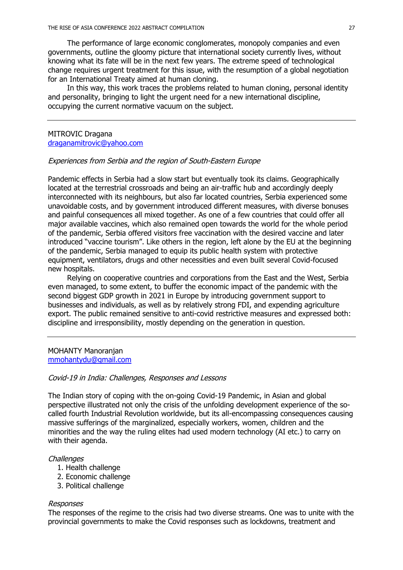The performance of large economic conglomerates, monopoly companies and even governments, outline the gloomy picture that international society currently lives, without knowing what its fate will be in the next few years. The extreme speed of technological change requires urgent treatment for this issue, with the resumption of a global negotiation for an International Treaty aimed at human cloning.

In this way, this work traces the problems related to human cloning, personal identity and personality, bringing to light the urgent need for a new international discipline, occupying the current normative vacuum on the subject.

### MITROVIC Dragana draganamitrovic@yahoo.com

### Experiences from Serbia and the region of South-Eastern Europe

Pandemic effects in Serbia had a slow start but eventually took its claims. Geographically located at the terrestrial crossroads and being an air-traffic hub and accordingly deeply interconnected with its neighbours, but also far located countries, Serbia experienced some unavoidable costs, and by government introduced different measures, with diverse bonuses and painful consequences all mixed together. As one of a few countries that could offer all major available vaccines, which also remained open towards the world for the whole period of the pandemic, Serbia offered visitors free vaccination with the desired vaccine and later introduced "vaccine tourism". Like others in the region, left alone by the EU at the beginning of the pandemic, Serbia managed to equip its public health system with protective equipment, ventilators, drugs and other necessities and even built several Covid-focused new hospitals.

Relying on cooperative countries and corporations from the East and the West, Serbia even managed, to some extent, to buffer the economic impact of the pandemic with the second biggest GDP growth in 2021 in Europe by introducing government support to businesses and individuals, as well as by relatively strong FDI, and expending agriculture export. The public remained sensitive to anti-covid restrictive measures and expressed both: discipline and irresponsibility, mostly depending on the generation in question.

#### MOHANTY Manoranjan mmohantydu@gmail.com

#### Covid-19 in India: Challenges, Responses and Lessons

The Indian story of coping with the on-going Covid-19 Pandemic, in Asian and global perspective illustrated not only the crisis of the unfolding development experience of the socalled fourth Industrial Revolution worldwide, but its all-encompassing consequences causing massive sufferings of the marginalized, especially workers, women, children and the minorities and the way the ruling elites had used modern technology (AI etc.) to carry on with their agenda.

## **Challenges**

- 1. Health challenge
- 2. Economic challenge
- 3. Political challenge

#### Responses

The responses of the regime to the crisis had two diverse streams. One was to unite with the provincial governments to make the Covid responses such as lockdowns, treatment and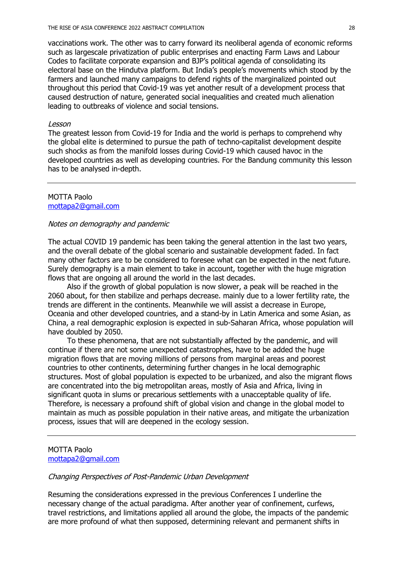vaccinations work. The other was to carry forward its neoliberal agenda of economic reforms such as largescale privatization of public enterprises and enacting Farm Laws and Labour Codes to facilitate corporate expansion and BJP's political agenda of consolidating its electoral base on the Hindutva platform. But India's people's movements which stood by the farmers and launched many campaigns to defend rights of the marginalized pointed out throughout this period that Covid-19 was yet another result of a development process that caused destruction of nature, generated social inequalities and created much alienation leading to outbreaks of violence and social tensions.

#### Lesson

The greatest lesson from Covid-19 for India and the world is perhaps to comprehend why the global elite is determined to pursue the path of techno-capitalist development despite such shocks as from the manifold losses during Covid-19 which caused havoc in the developed countries as well as developing countries. For the Bandung community this lesson has to be analysed in-depth.

#### MOTTA Paolo mottapa2@gmail.com

### Notes on demography and pandemic

The actual COVID 19 pandemic has been taking the general attention in the last two years, and the overall debate of the global scenario and sustainable development faded. In fact many other factors are to be considered to foresee what can be expected in the next future. Surely demography is a main element to take in account, together with the huge migration flows that are ongoing all around the world in the last decades.

Also if the growth of global population is now slower, a peak will be reached in the 2060 about, for then stabilize and perhaps decrease. mainly due to a lower fertility rate, the trends are different in the continents. Meanwhile we will assist a decrease in Europe, Oceania and other developed countries, and a stand-by in Latin America and some Asian, as China, a real demographic explosion is expected in sub-Saharan Africa, whose population will have doubled by 2050.

To these phenomena, that are not substantially affected by the pandemic, and will continue if there are not some unexpected catastrophes, have to be added the huge migration flows that are moving millions of persons from marginal areas and poorest countries to other continents, determining further changes in he local demographic structures. Most of global population is expected to be urbanized, and also the migrant flows are concentrated into the big metropolitan areas, mostly of Asia and Africa, living in significant quota in slums or precarious settlements with a unacceptable quality of life. Therefore, is necessary a profound shift of global vision and change in the global model to maintain as much as possible population in their native areas, and mitigate the urbanization process, issues that will are deepened in the ecology session.

## MOTTA Paolo mottapa2@gmail.com

#### Changing Perspectives of Post-Pandemic Urban Development

Resuming the considerations expressed in the previous Conferences I underline the necessary change of the actual paradigma. After another year of confinement, curfews, travel restrictions, and limitations applied all around the globe, the impacts of the pandemic are more profound of what then supposed, determining relevant and permanent shifts in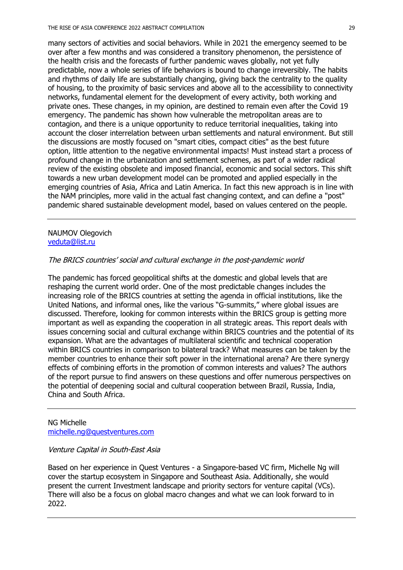many sectors of activities and social behaviors. While in 2021 the emergency seemed to be over after a few months and was considered a transitory phenomenon, the persistence of the health crisis and the forecasts of further pandemic waves globally, not yet fully predictable, now a whole series of life behaviors is bound to change irreversibly. The habits and rhythms of daily life are substantially changing, giving back the centrality to the quality of housing, to the proximity of basic services and above all to the accessibility to connectivity networks, fundamental element for the development of every activity, both working and private ones. These changes, in my opinion, are destined to remain even after the Covid 19 emergency. The pandemic has shown how vulnerable the metropolitan areas are to contagion, and there is a unique opportunity to reduce territorial inequalities, taking into account the closer interrelation between urban settlements and natural environment. But still the discussions are mostly focused on "smart cities, compact cities" as the best future option, little attention to the negative environmental impacts! Must instead start a process of profound change in the urbanization and settlement schemes, as part of a wider radical review of the existing obsolete and imposed financial, economic and social sectors. This shift towards a new urban development model can be promoted and applied especially in the emerging countries of Asia, Africa and Latin America. In fact this new approach is in line with the NAM principles, more valid in the actual fast changing context, and can define a "post" pandemic shared sustainable development model, based on values centered on the people.

## NAUMOV Olegovich veduta@list.ru

## The BRICS countries' social and cultural exchange in the post-pandemic world

The pandemic has forced geopolitical shifts at the domestic and global levels that are reshaping the current world order. One of the most predictable changes includes the increasing role of the BRICS countries at setting the agenda in official institutions, like the United Nations, and informal ones, like the various "G-summits," where global issues are discussed. Therefore, looking for common interests within the BRICS group is getting more important as well as expanding the cooperation in all strategic areas. This report deals with issues concerning social and cultural exchange within BRICS countries and the potential of its expansion. What are the advantages of multilateral scientific and technical cooperation within BRICS countries in comparison to bilateral track? What measures can be taken by the member countries to enhance their soft power in the international arena? Are there synergy effects of combining efforts in the promotion of common interests and values? The authors of the report pursue to find answers on these questions and offer numerous perspectives on the potential of deepening social and cultural cooperation between Brazil, Russia, India, China and South Africa.

# NG Michelle michelle.ng@questventures.com

### Venture Capital in South-East Asia

Based on her experience in Quest Ventures - a Singapore-based VC firm, Michelle Ng will cover the startup ecosystem in Singapore and Southeast Asia. Additionally, she would present the current Investment landscape and priority sectors for venture capital (VCs). There will also be a focus on global macro changes and what we can look forward to in 2022.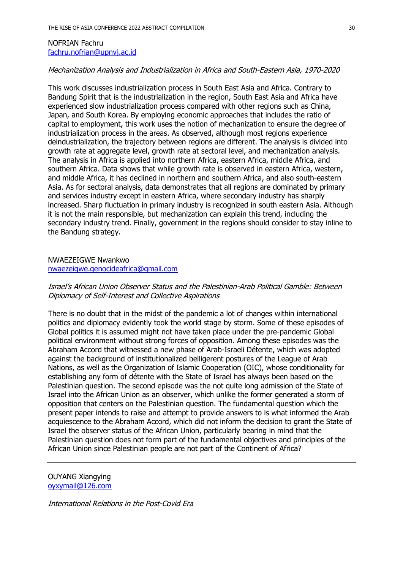### NOFRIAN Fachru fachru.nofrian@upnvj.ac.id

### Mechanization Analysis and Industrialization in Africa and South-Eastern Asia, 1970-2020

This work discusses industrialization process in South East Asia and Africa. Contrary to Bandung Spirit that is the industrialization in the region, South East Asia and Africa have experienced slow industrialization process compared with other regions such as China, Japan, and South Korea. By employing economic approaches that includes the ratio of capital to employment, this work uses the notion of mechanization to ensure the degree of industrialization process in the areas. As observed, although most regions experience deindustrialization, the trajectory between regions are different. The analysis is divided into growth rate at aggregate level, growth rate at sectoral level, and mechanization analysis. The analysis in Africa is applied into northern Africa, eastern Africa, middle Africa, and southern Africa. Data shows that while growth rate is observed in eastern Africa, western, and middle Africa, it has declined in northern and southern Africa, and also south-eastern Asia. As for sectoral analysis, data demonstrates that all regions are dominated by primary and services industry except in eastern Africa, where secondary industry has sharply increased. Sharp fluctuation in primary industry is recognized in south eastern Asia. Although it is not the main responsible, but mechanization can explain this trend, including the secondary industry trend. Finally, government in the regions should consider to stay inline to the Bandung strategy.

# NWAEZEIGWE Nwankwo nwaezeigwe.genocideafrica@gmail.com

# Israel's African Union Observer Status and the Palestinian-Arab Political Gamble: Between Diplomacy of Self-Interest and Collective Aspirations

There is no doubt that in the midst of the pandemic a lot of changes within international politics and diplomacy evidently took the world stage by storm. Some of these episodes of Global politics it is assumed might not have taken place under the pre-pandemic Global political environment without strong forces of opposition. Among these episodes was the Abraham Accord that witnessed a new phase of Arab-Israeli Détente, which was adopted against the background of institutionalized belligerent postures of the League of Arab Nations, as well as the Organization of Islamic Cooperation (OIC), whose conditionality for establishing any form of détente with the State of Israel has always been based on the Palestinian question. The second episode was the not quite long admission of the State of Israel into the African Union as an observer, which unlike the former generated a storm of opposition that centers on the Palestinian question. The fundamental question which the present paper intends to raise and attempt to provide answers to is what informed the Arab acquiescence to the Abraham Accord, which did not inform the decision to grant the State of Israel the observer status of the African Union, particularly bearing in mind that the Palestinian question does not form part of the fundamental objectives and principles of the African Union since Palestinian people are not part of the Continent of Africa?

OUYANG Xiangying oyxymail@126.com

International Relations in the Post-Covid Era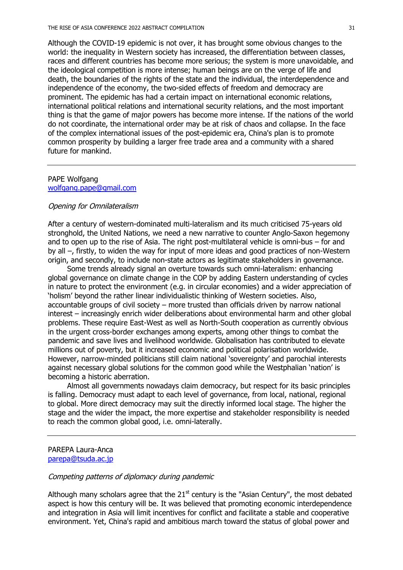Although the COVID-19 epidemic is not over, it has brought some obvious changes to the world: the inequality in Western society has increased, the differentiation between classes, races and different countries has become more serious; the system is more unavoidable, and the ideological competition is more intense; human beings are on the verge of life and death, the boundaries of the rights of the state and the individual, the interdependence and independence of the economy, the two-sided effects of freedom and democracy are prominent. The epidemic has had a certain impact on international economic relations, international political relations and international security relations, and the most important thing is that the game of major powers has become more intense. If the nations of the world do not coordinate, the international order may be at risk of chaos and collapse. In the face of the complex international issues of the post-epidemic era, China's plan is to promote common prosperity by building a larger free trade area and a community with a shared future for mankind.

# PAPE Wolfgang wolfgang.pape@gmail.com

#### Opening for Omnilateralism

After a century of western-dominated multi-lateralism and its much criticised 75-years old stronghold, the United Nations, we need a new narrative to counter Anglo-Saxon hegemony and to open up to the rise of Asia. The right post-multilateral vehicle is omni-bus – for and by all –, firstly, to widen the way for input of more ideas and good practices of non-Western origin, and secondly, to include non-state actors as legitimate stakeholders in governance.

Some trends already signal an overture towards such omni-lateralism: enhancing global governance on climate change in the COP by adding Eastern understanding of cycles in nature to protect the environment (e.g. in circular economies) and a wider appreciation of 'holism' beyond the rather linear individualistic thinking of Western societies. Also, accountable groups of civil society – more trusted than officials driven by narrow national interest – increasingly enrich wider deliberations about environmental harm and other global problems. These require East-West as well as North-South cooperation as currently obvious in the urgent cross-border exchanges among experts, among other things to combat the pandemic and save lives and livelihood worldwide. Globalisation has contributed to elevate millions out of poverty, but it increased economic and political polarisation worldwide. However, narrow-minded politicians still claim national 'sovereignty' and parochial interests against necessary global solutions for the common good while the Westphalian 'nation' is becoming a historic aberration.

Almost all governments nowadays claim democracy, but respect for its basic principles is falling. Democracy must adapt to each level of governance, from local, national, regional to global. More direct democracy may suit the directly informed local stage. The higher the stage and the wider the impact, the more expertise and stakeholder responsibility is needed to reach the common global good, i.e. omni-laterally.

### PAREPA Laura-Anca parepa@tsuda.ac.jp

### Competing patterns of diplomacy during pandemic

Although many scholars agree that the  $21<sup>st</sup>$  century is the "Asian Century", the most debated aspect is how this century will be. It was believed that promoting economic interdependence and integration in Asia will limit incentives for conflict and facilitate a stable and cooperative environment. Yet, China's rapid and ambitious march toward the status of global power and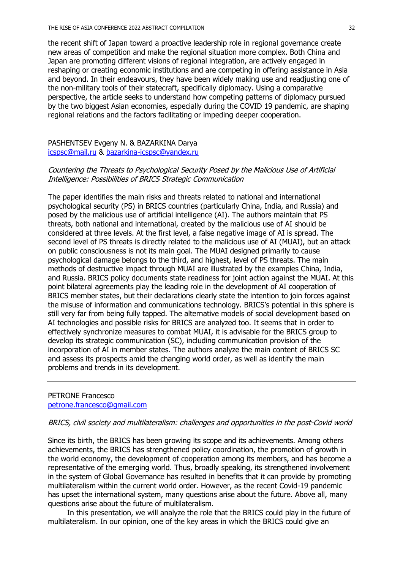the recent shift of Japan toward a proactive leadership role in regional governance create new areas of competition and make the regional situation more complex. Both China and Japan are promoting different visions of regional integration, are actively engaged in reshaping or creating economic institutions and are competing in offering assistance in Asia and beyond. In their endeavours, they have been widely making use and readjusting one of the non-military tools of their statecraft, specifically diplomacy. Using a comparative perspective, the article seeks to understand how competing patterns of diplomacy pursued by the two biggest Asian economies, especially during the COVID 19 pandemic, are shaping regional relations and the factors facilitating or impeding deeper cooperation.

PASHENTSEV Evgeny N. & BAZARKINA Darya icspsc@mail.ru & bazarkina-icspsc@yandex.ru

# Countering the Threats to Psychological Security Posed by the Malicious Use of Artificial Intelligence: Possibilities of BRICS Strategic Communication

The paper identifies the main risks and threats related to national and international psychological security (PS) in BRICS countries (particularly China, India, and Russia) and posed by the malicious use of artificial intelligence (AI). The authors maintain that PS threats, both national and international, created by the malicious use of AI should be considered at three levels. At the first level, a false negative image of AI is spread. The second level of PS threats is directly related to the malicious use of AI (MUAI), but an attack on public consciousness is not its main goal. The MUAI designed primarily to cause psychological damage belongs to the third, and highest, level of PS threats. The main methods of destructive impact through MUAI are illustrated by the examples China, India, and Russia. BRICS policy documents state readiness for joint action against the MUAI. At this point bilateral agreements play the leading role in the development of AI cooperation of BRICS member states, but their declarations clearly state the intention to join forces against the misuse of information and communications technology. BRICS's potential in this sphere is still very far from being fully tapped. The alternative models of social development based on AI technologies and possible risks for BRICS are analyzed too. It seems that in order to effectively synchronize measures to combat MUAI, it is advisable for the BRICS group to develop its strategic communication (SC), including communication provision of the incorporation of AI in member states. The authors analyze the main content of BRICS SC and assess its prospects amid the changing world order, as well as identify the main problems and trends in its development.

### PETRONE Francesco petrone.francesco@gmail.com

### BRICS, civil society and multilateralism: challenges and opportunities in the post-Covid world

Since its birth, the BRICS has been growing its scope and its achievements. Among others achievements, the BRICS has strengthened policy coordination, the promotion of growth in the world economy, the development of cooperation among its members, and has become a representative of the emerging world. Thus, broadly speaking, its strengthened involvement in the system of Global Governance has resulted in benefits that it can provide by promoting multilateralism within the current world order. However, as the recent Covid-19 pandemic has upset the international system, many questions arise about the future. Above all, many questions arise about the future of multilateralism.

In this presentation, we will analyze the role that the BRICS could play in the future of multilateralism. In our opinion, one of the key areas in which the BRICS could give an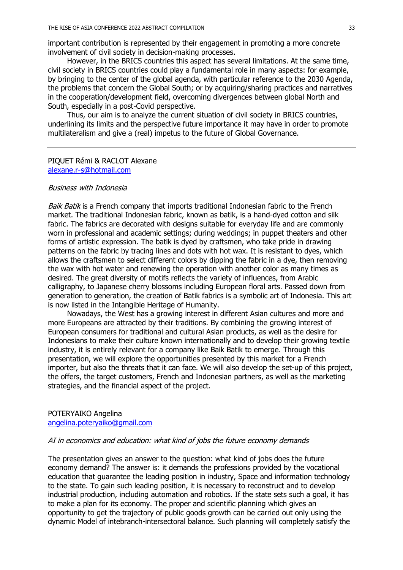important contribution is represented by their engagement in promoting a more concrete involvement of civil society in decision-making processes.

However, in the BRICS countries this aspect has several limitations. At the same time, civil society in BRICS countries could play a fundamental role in many aspects: for example, by bringing to the center of the global agenda, with particular reference to the 2030 Agenda, the problems that concern the Global South; or by acquiring/sharing practices and narratives in the cooperation/development field, overcoming divergences between global North and South, especially in a post-Covid perspective.

Thus, our aim is to analyze the current situation of civil society in BRICS countries, underlining its limits and the perspective future importance it may have in order to promote multilateralism and give a (real) impetus to the future of Global Governance.

#### PIQUET Rémi & RACLOT Alexane alexane.r-s@hotmail.com

#### Business with Indonesia

Baik Batik is a French company that imports traditional Indonesian fabric to the French market. The traditional Indonesian fabric, known as batik, is a hand-dyed cotton and silk fabric. The fabrics are decorated with designs suitable for everyday life and are commonly worn in professional and academic settings; during weddings; in puppet theaters and other forms of artistic expression. The batik is dyed by craftsmen, who take pride in drawing patterns on the fabric by tracing lines and dots with hot wax. It is resistant to dyes, which allows the craftsmen to select different colors by dipping the fabric in a dye, then removing the wax with hot water and renewing the operation with another color as many times as desired. The great diversity of motifs reflects the variety of influences, from Arabic calligraphy, to Japanese cherry blossoms including European floral arts. Passed down from generation to generation, the creation of Batik fabrics is a symbolic art of Indonesia. This art is now listed in the Intangible Heritage of Humanity.

Nowadays, the West has a growing interest in different Asian cultures and more and more Europeans are attracted by their traditions. By combining the growing interest of European consumers for traditional and cultural Asian products, as well as the desire for Indonesians to make their culture known internationally and to develop their growing textile industry, it is entirely relevant for a company like Baik Batik to emerge. Through this presentation, we will explore the opportunities presented by this market for a French importer, but also the threats that it can face. We will also develop the set-up of this project, the offers, the target customers, French and Indonesian partners, as well as the marketing strategies, and the financial aspect of the project.

### POTERYAIKO Angelina angelina.poteryaiko@gmail.com

#### AI in economics and education: what kind of jobs the future economy demands

The presentation gives an answer to the question: what kind of jobs does the future economy demand? The answer is: it demands the professions provided by the vocational education that guarantee the leading position in industry, Space and information technology to the state. To gain such leading position, it is necessary to reconstruct and to develop industrial production, including automation and robotics. If the state sets such a goal, it has to make a plan for its economy. The proper and scientific planning which gives an opportunity to get the trajectory of public goods growth can be carried out only using the dynamic Model of intebranch-intersectoral balance. Such planning will completely satisfy the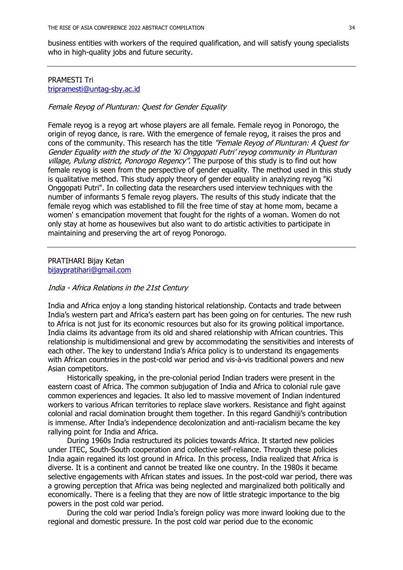business entities with workers of the required qualification, and will satisfy young specialists who in high-quality jobs and future security.

# PRAMESTI Tri tripramesti@untag-sby.ac.id

### Female Reyog of Plunturan: Quest for Gender Equality

Female reyog is a reyog art whose players are all female. Female reyog in Ponorogo, the origin of reyog dance, is rare. With the emergence of female reyog, it raises the pros and cons of the community. This research has the title "Female Reyog of Plunturan: A Quest for Gender Equality with the study of the 'Ki Onggopati Putri' reyog community in Plunturan village, Pulung district, Ponorogo Regency". The purpose of this study is to find out how female reyog is seen from the perspective of gender equality. The method used in this study is qualitative method. This study apply theory of gender equality in analyzing reyog "Ki Onggopati Putri". In collecting data the researchers used interview techniques with the number of informants 5 female reyog players. The results of this study indicate that the female reyog which was established to fill the free time of stay at home mom, became a women' s emancipation movement that fought for the rights of a woman. Women do not only stay at home as housewives but also want to do artistic activities to participate in maintaining and preserving the art of reyog Ponorogo.

PRATIHARI Bijay Ketan bijaypratihari@gmail.com

### India - Africa Relations in the 21st Century

India and Africa enjoy a long standing historical relationship. Contacts and trade between India's western part and Africa's eastern part has been going on for centuries. The new rush to Africa is not just for its economic resources but also for its growing political importance. India claims its advantage from its old and shared relationship with African countries. This relationship is multidimensional and grew by accommodating the sensitivities and interests of each other. The key to understand India's Africa policy is to understand its engagements with African countries in the post-cold war period and vis-à-vis traditional powers and new Asian competitors.

Historically speaking, in the pre-colonial period Indian traders were present in the eastern coast of Africa. The common subjugation of India and Africa to colonial rule gave common experiences and legacies. It also led to massive movement of Indian indentured workers to various African territories to replace slave workers. Resistance and fight against colonial and racial domination brought them together. In this regard Gandhiji's contribution is immense. After India's independence decolonization and anti-racialism became the key rallying point for India and Africa.

During 1960s India restructured its policies towards Africa. It started new policies under ITEC, South-South cooperation and collective self-reliance. Through these policies India again regained its lost ground in Africa. In this process, India realized that Africa is diverse. It is a continent and cannot be treated like one country. In the 1980s it became selective engagements with African states and issues. In the post-cold war period, there was a growing perception that Africa was being neglected and marginalized both politically and economically. There is a feeling that they are now of little strategic importance to the big powers in the post cold war period.

During the cold war period India's foreign policy was more inward looking due to the regional and domestic pressure. In the post cold war period due to the economic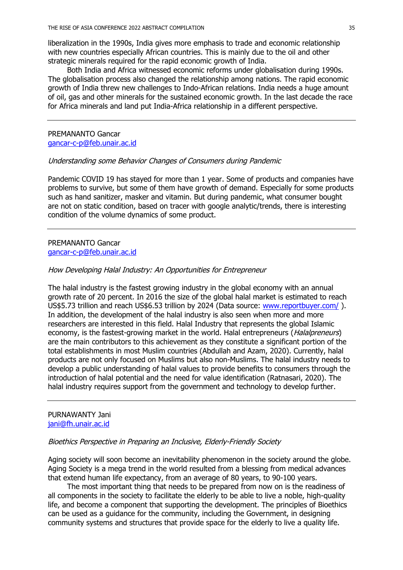liberalization in the 1990s, India gives more emphasis to trade and economic relationship with new countries especially African countries. This is mainly due to the oil and other strategic minerals required for the rapid economic growth of India.

Both India and Africa witnessed economic reforms under globalisation during 1990s. The globalisation process also changed the relationship among nations. The rapid economic growth of India threw new challenges to Indo-African relations. India needs a huge amount of oil, gas and other minerals for the sustained economic growth. In the last decade the race for Africa minerals and land put India-Africa relationship in a different perspective.

PREMANANTO Gancar gancar-c-p@feb.unair.ac.id

#### Understanding some Behavior Changes of Consumers during Pandemic

Pandemic COVID 19 has stayed for more than 1 year. Some of products and companies have problems to survive, but some of them have growth of demand. Especially for some products such as hand sanitizer, masker and vitamin. But during pandemic, what consumer bought are not on static condition, based on tracer with google analytic/trends, there is interesting condition of the volume dynamics of some product.

#### PREMANANTO Gancar gancar-c-p@feb.unair.ac.id

#### How Developing Halal Industry: An Opportunities for Entrepreneur

The halal industry is the fastest growing industry in the global economy with an annual growth rate of 20 percent. In 2016 the size of the global halal market is estimated to reach US\$5.73 trillion and reach US\$6.53 trillion by 2024 (Data source: www.reportbuyer.com/). In addition, the development of the halal industry is also seen when more and more researchers are interested in this field. Halal Industry that represents the global Islamic economy, is the fastest-growing market in the world. Halal entrepreneurs (*Halalpreneurs*) are the main contributors to this achievement as they constitute a significant portion of the total establishments in most Muslim countries (Abdullah and Azam, 2020). Currently, halal products are not only focused on Muslims but also non-Muslims. The halal industry needs to develop a public understanding of halal values to provide benefits to consumers through the introduction of halal potential and the need for value identification (Ratnasari, 2020). The halal industry requires support from the government and technology to develop further.

### PURNAWANTY Jani jani@fh.unair.ac.id

#### Bioethics Perspective in Preparing an Inclusive, Elderly-Friendly Society

Aging society will soon become an inevitability phenomenon in the society around the globe. Aging Society is a mega trend in the world resulted from a blessing from medical advances that extend human life expectancy, from an average of 80 years, to 90-100 years.

The most important thing that needs to be prepared from now on is the readiness of all components in the society to facilitate the elderly to be able to live a noble, high-quality life, and become a component that supporting the development. The principles of Bioethics can be used as a guidance for the community, including the Government, in designing community systems and structures that provide space for the elderly to live a quality life.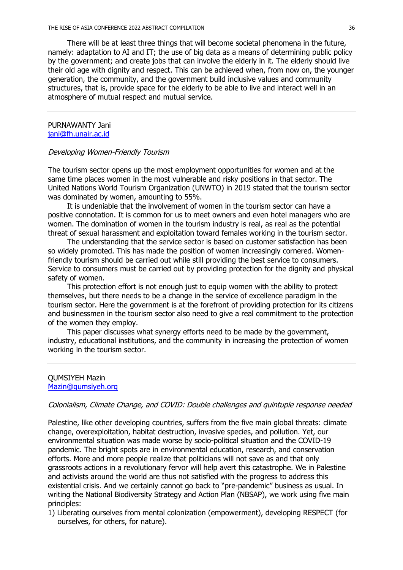There will be at least three things that will become societal phenomena in the future, namely: adaptation to AI and IT; the use of big data as a means of determining public policy by the government; and create jobs that can involve the elderly in it. The elderly should live their old age with dignity and respect. This can be achieved when, from now on, the younger generation, the community, and the government build inclusive values and community structures, that is, provide space for the elderly to be able to live and interact well in an atmosphere of mutual respect and mutual service.

#### PURNAWANTY Jani jani@fh.unair.ac.id

#### Developing Women-Friendly Tourism

The tourism sector opens up the most employment opportunities for women and at the same time places women in the most vulnerable and risky positions in that sector. The United Nations World Tourism Organization (UNWTO) in 2019 stated that the tourism sector was dominated by women, amounting to 55%.

It is undeniable that the involvement of women in the tourism sector can have a positive connotation. It is common for us to meet owners and even hotel managers who are women. The domination of women in the tourism industry is real, as real as the potential threat of sexual harassment and exploitation toward females working in the tourism sector.

The understanding that the service sector is based on customer satisfaction has been so widely promoted. This has made the position of women increasingly cornered. Womenfriendly tourism should be carried out while still providing the best service to consumers. Service to consumers must be carried out by providing protection for the dignity and physical safety of women.

This protection effort is not enough just to equip women with the ability to protect themselves, but there needs to be a change in the service of excellence paradigm in the tourism sector. Here the government is at the forefront of providing protection for its citizens and businessmen in the tourism sector also need to give a real commitment to the protection of the women they employ.

This paper discusses what synergy efforts need to be made by the government, industry, educational institutions, and the community in increasing the protection of women working in the tourism sector.

#### QUMSIYEH Mazin Mazin@qumsiyeh.org

#### Colonialism, Climate Change, and COVID: Double challenges and quintuple response needed

Palestine, like other developing countries, suffers from the five main global threats: climate change, overexploitation, habitat destruction, invasive species, and pollution. Yet, our environmental situation was made worse by socio-political situation and the COVID-19 pandemic. The bright spots are in environmental education, research, and conservation efforts. More and more people realize that politicians will not save as and that only grassroots actions in a revolutionary fervor will help avert this catastrophe. We in Palestine and activists around the world are thus not satisfied with the progress to address this existential crisis. And we certainly cannot go back to "pre-pandemic" business as usual. In writing the National Biodiversity Strategy and Action Plan (NBSAP), we work using five main principles:

1) Liberating ourselves from mental colonization (empowerment), developing RESPECT (for ourselves, for others, for nature).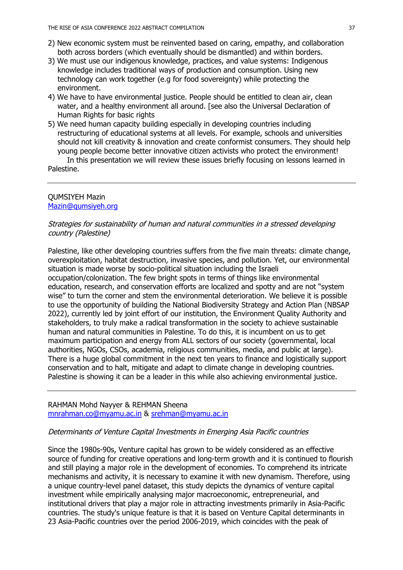- 2) New economic system must be reinvented based on caring, empathy, and collaboration both across borders (which eventually should be dismantled) and within borders.
- 3) We must use our indigenous knowledge, practices, and value systems: Indigenous knowledge includes traditional ways of production and consumption. Using new technology can work together (e.g for food sovereignty) while protecting the environment.
- 4) We have to have environmental justice. People should be entitled to clean air, clean water, and a healthy environment all around. [see also the Universal Declaration of Human Rights for basic rights
- 5) We need human capacity building especially in developing countries including restructuring of educational systems at all levels. For example, schools and universities should not kill creativity & innovation and create conformist consumers. They should help young people become better innovative citizen activists who protect the environment!

In this presentation we will review these issues briefly focusing on lessons learned in Palestine.

### QUMSIYEH Mazin Mazin@qumsiyeh.org

# Strategies for sustainability of human and natural communities in a stressed developing country (Palestine)

Palestine, like other developing countries suffers from the five main threats: climate change, overexploitation, habitat destruction, invasive species, and pollution. Yet, our environmental situation is made worse by socio-political situation including the Israeli occupation/colonization. The few bright spots in terms of things like environmental education, research, and conservation efforts are localized and spotty and are not "system wise" to turn the corner and stem the environmental deterioration. We believe it is possible to use the opportunity of building the National Biodiversity Strategy and Action Plan (NBSAP 2022), currently led by joint effort of our institution, the Environment Quality Authority and stakeholders, to truly make a radical transformation in the society to achieve sustainable human and natural communities in Palestine. To do this, it is incumbent on us to get maximum participation and energy from ALL sectors of our society (governmental, local authorities, NGOs, CSOs, academia, religious communities, media, and public at large). There is a huge global commitment in the next ten years to finance and logistically support conservation and to halt, mitigate and adapt to climate change in developing countries. Palestine is showing it can be a leader in this while also achieving environmental justice.

### RAHMAN Mohd Nayyer & REHMAN Sheena mnrahman.co@myamu.ac.in & srehman@myamu.ac.in

### Determinants of Venture Capital Investments in Emerging Asia Pacific countries

Since the 1980s-90s, Venture capital has grown to be widely considered as an effective source of funding for creative operations and long-term growth and it is continued to flourish and still playing a major role in the development of economies. To comprehend its intricate mechanisms and activity, it is necessary to examine it with new dynamism. Therefore, using a unique country-level panel dataset, this study depicts the dynamics of venture capital investment while empirically analysing major macroeconomic, entrepreneurial, and institutional drivers that play a major role in attracting investments primarily in Asia-Pacific countries. The study's unique feature is that it is based on Venture Capital determinants in 23 Asia-Pacific countries over the period 2006-2019, which coincides with the peak of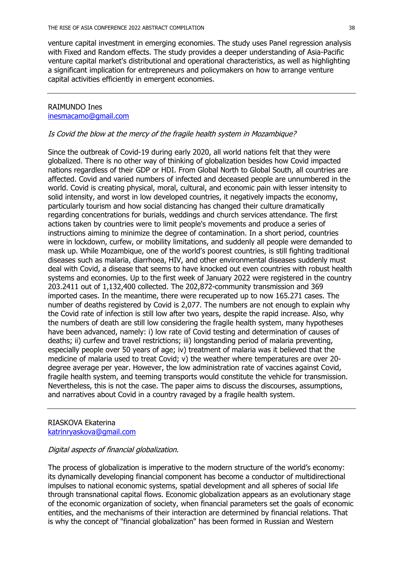venture capital investment in emerging economies. The study uses Panel regression analysis with Fixed and Random effects. The study provides a deeper understanding of Asia-Pacific venture capital market's distributional and operational characteristics, as well as highlighting a significant implication for entrepreneurs and policymakers on how to arrange venture capital activities efficiently in emergent economies.

### RAIMUNDO Ines inesmacamo@gmail.com

#### Is Covid the blow at the mercy of the fragile health system in Mozambique?

Since the outbreak of Covid-19 during early 2020, all world nations felt that they were globalized. There is no other way of thinking of globalization besides how Covid impacted nations regardless of their GDP or HDI. From Global North to Global South, all countries are affected. Covid and varied numbers of infected and deceased people are unnumbered in the world. Covid is creating physical, moral, cultural, and economic pain with lesser intensity to solid intensity, and worst in low developed countries, it negatively impacts the economy, particularly tourism and how social distancing has changed their culture dramatically regarding concentrations for burials, weddings and church services attendance. The first actions taken by countries were to limit people's movements and produce a series of instructions aiming to minimize the degree of contamination. In a short period, countries were in lockdown, curfew, or mobility limitations, and suddenly all people were demanded to mask up. While Mozambique, one of the world's poorest countries, is still fighting traditional diseases such as malaria, diarrhoea, HIV, and other environmental diseases suddenly must deal with Covid, a disease that seems to have knocked out even countries with robust health systems and economies. Up to the first week of January 2022 were registered in the country 203.2411 out of 1,132,400 collected. The 202,872-community transmission and 369 imported cases. In the meantime, there were recuperated up to now 165.271 cases. The number of deaths registered by Covid is 2,077. The numbers are not enough to explain why the Covid rate of infection is still low after two years, despite the rapid increase. Also, why the numbers of death are still low considering the fragile health system, many hypotheses have been advanced, namely: i) low rate of Covid testing and determination of causes of deaths; ii) curfew and travel restrictions; iii) longstanding period of malaria preventing, especially people over 50 years of age; iv) treatment of malaria was it believed that the medicine of malaria used to treat Covid; v) the weather where temperatures are over 20 degree average per year. However, the low administration rate of vaccines against Covid, fragile health system, and teeming transports would constitute the vehicle for transmission. Nevertheless, this is not the case. The paper aims to discuss the discourses, assumptions, and narratives about Covid in a country ravaged by a fragile health system.

RIASKOVA Ekaterina katrinryaskova@gmail.com

# Digital aspects of financial globalization.

The process of globalization is imperative to the modern structure of the world's economy: its dynamically developing financial component has become a conductor of multidirectional impulses to national economic systems, spatial development and all spheres of social life through transnational capital flows. Economic globalization appears as an evolutionary stage of the economic organization of society, when financial parameters set the goals of economic entities, and the mechanisms of their interaction are determined by financial relations. That is why the concept of "financial globalization" has been formed in Russian and Western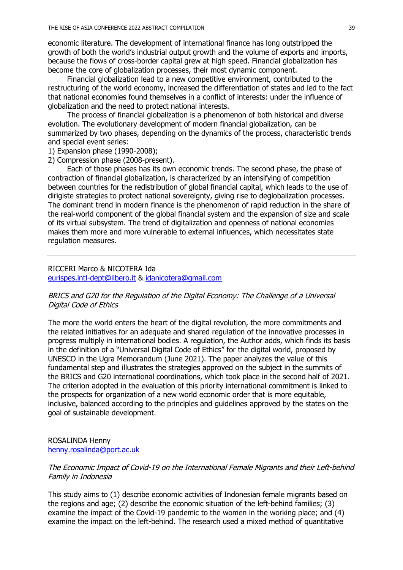economic literature. The development of international finance has long outstripped the growth of both the world's industrial output growth and the volume of exports and imports, because the flows of cross-border capital grew at high speed. Financial globalization has become the core of globalization processes, their most dynamic component.

Financial globalization lead to a new competitive environment, contributed to the restructuring of the world economy, increased the differentiation of states and led to the fact that national economies found themselves in a conflict of interests: under the influence of globalization and the need to protect national interests.

The process of financial globalization is a phenomenon of both historical and diverse evolution. The evolutionary development of modern financial globalization, can be summarized by two phases, depending on the dynamics of the process, characteristic trends and special event series:

1) Expansion phase (1990-2008);

2) Compression phase (2008-present).

Each of those phases has its own economic trends. The second phase, the phase of contraction of financial globalization, is characterized by an intensifying of competition between countries for the redistribution of global financial capital, which leads to the use of dirigiste strategies to protect national sovereignty, giving rise to deglobalization processes. The dominant trend in modern finance is the phenomenon of rapid reduction in the share of the real-world component of the global financial system and the expansion of size and scale of its virtual subsystem. The trend of digitalization and openness of national economies makes them more and more vulnerable to external influences, which necessitates state regulation measures.

#### RICCERI Marco & NICOTERA Ida

eurispes.intl-dept@libero.it & idanicotera@gmail.com

## BRICS and G20 for the Regulation of the Digital Economy: The Challenge of a Universal Digital Code of Ethics

The more the world enters the heart of the digital revolution, the more commitments and the related initiatives for an adequate and shared regulation of the innovative processes in progress multiply in international bodies. A regulation, the Author adds, which finds its basis in the definition of a "Universal Digital Code of Ethics" for the digital world, proposed by UNESCO in the Ugra Memorandum (June 2021). The paper analyzes the value of this fundamental step and illustrates the strategies approved on the subject in the summits of the BRICS and G20 international coordinations, which took place in the second half of 2021. The criterion adopted in the evaluation of this priority international commitment is linked to the prospects for organization of a new world economic order that is more equitable, inclusive, balanced according to the principles and guidelines approved by the states on the goal of sustainable development.

#### ROSALINDA Henny henny.rosalinda@port.ac.uk

## The Economic Impact of Covid-19 on the International Female Migrants and their Left-behind Family in Indonesia

This study aims to (1) describe economic activities of Indonesian female migrants based on the regions and age; (2) describe the economic situation of the left-behind families; (3) examine the impact of the Covid-19 pandemic to the women in the working place; and (4) examine the impact on the left-behind. The research used a mixed method of quantitative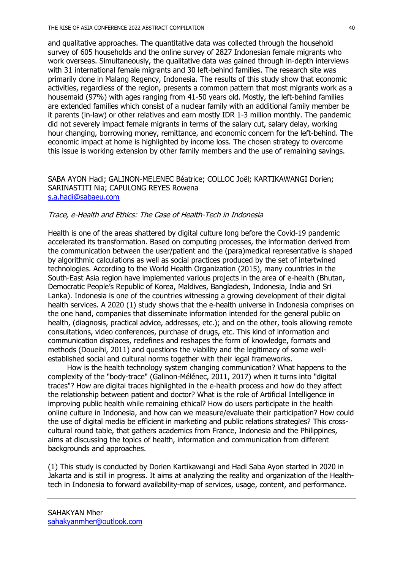and qualitative approaches. The quantitative data was collected through the household survey of 605 households and the online survey of 2827 Indonesian female migrants who work overseas. Simultaneously, the qualitative data was gained through in-depth interviews with 31 international female migrants and 30 left-behind families. The research site was primarily done in Malang Regency, Indonesia. The results of this study show that economic activities, regardless of the region, presents a common pattern that most migrants work as a housemaid (97%) with ages ranging from 41-50 years old. Mostly, the left-behind families are extended families which consist of a nuclear family with an additional family member be it parents (in-law) or other relatives and earn mostly IDR 1-3 million monthly. The pandemic did not severely impact female migrants in terms of the salary cut, salary delay, working hour changing, borrowing money, remittance, and economic concern for the left-behind. The economic impact at home is highlighted by income loss. The chosen strategy to overcome this issue is working extension by other family members and the use of remaining savings.

## SABA AYON Hadi; GALINON-MELENEC Béatrice; COLLOC Joël; KARTIKAWANGI Dorien; SARINASTITI Nia; CAPULONG REYES Rowena s.a.hadi@sabaeu.com

### Trace, e-Health and Ethics: The Case of Health-Tech in Indonesia

Health is one of the areas shattered by digital culture long before the Covid-19 pandemic accelerated its transformation. Based on computing processes, the information derived from the communication between the user/patient and the (para)medical representative is shaped by algorithmic calculations as well as social practices produced by the set of intertwined technologies. According to the World Health Organization (2015), many countries in the South-East Asia region have implemented various projects in the area of e-health (Bhutan, Democratic People's Republic of Korea, Maldives, Bangladesh, Indonesia, India and Sri Lanka). Indonesia is one of the countries witnessing a growing development of their digital health services. A 2020 (1) study shows that the e-health universe in Indonesia comprises on the one hand, companies that disseminate information intended for the general public on health, (diagnosis, practical advice, addresses, etc.); and on the other, tools allowing remote consultations, video conferences, purchase of drugs, etc. This kind of information and communication displaces, redefines and reshapes the form of knowledge, formats and methods (Doueihi, 2011) and questions the viability and the legitimacy of some wellestablished social and cultural norms together with their legal frameworks.

How is the health technology system changing communication? What happens to the complexity of the "body-trace" (Galinon-Mélénec, 2011, 2017) when it turns into "digital traces"? How are digital traces highlighted in the e-health process and how do they affect the relationship between patient and doctor? What is the role of Artificial Intelligence in improving public health while remaining ethical? How do users participate in the health online culture in Indonesia, and how can we measure/evaluate their participation? How could the use of digital media be efficient in marketing and public relations strategies? This crosscultural round table, that gathers academics from France, Indonesia and the Philippines, aims at discussing the topics of health, information and communication from different backgrounds and approaches.

(1) This study is conducted by Dorien Kartikawangi and Hadi Saba Ayon started in 2020 in Jakarta and is still in progress. It aims at analyzing the reality and organization of the Healthtech in Indonesia to forward availability-map of services, usage, content, and performance.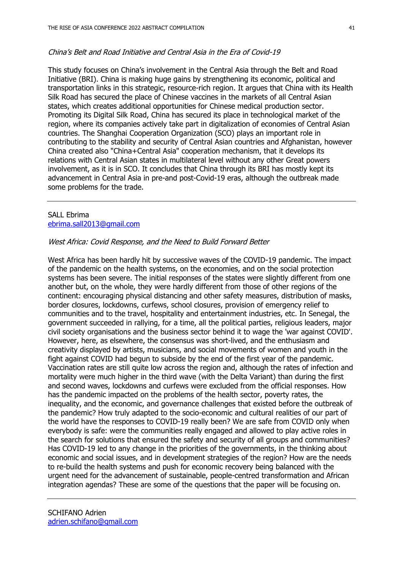#### China's Belt and Road Initiative and Central Asia in the Era of Covid-19

This study focuses on China's involvement in the Central Asia through the Belt and Road Initiative (BRI). China is making huge gains by strengthening its economic, political and transportation links in this strategic, resource-rich region. It argues that China with its Health Silk Road has secured the place of Chinese vaccines in the markets of all Central Asian states, which creates additional opportunities for Chinese medical production sector. Promoting its Digital Silk Road, China has secured its place in technological market of the region, where its companies actively take part in digitalization of economies of Central Asian countries. The Shanghai Cooperation Organization (SCO) plays an important role in contributing to the stability and security of Central Asian countries and Afghanistan, however China created also "China+Central Asia" cooperation mechanism, that it develops its relations with Central Asian states in multilateral level without any other Great powers involvement, as it is in SCO. It concludes that China through its BRI has mostly kept its advancement in Central Asia in pre-and post-Covid-19 eras, although the outbreak made some problems for the trade.

### SALL Ebrima ebrima.sall2013@gmail.com

# West Africa: Covid Response, and the Need to Build Forward Better

West Africa has been hardly hit by successive waves of the COVID-19 pandemic. The impact of the pandemic on the health systems, on the economies, and on the social protection systems has been severe. The initial responses of the states were slightly different from one another but, on the whole, they were hardly different from those of other regions of the continent: encouraging physical distancing and other safety measures, distribution of masks, border closures, lockdowns, curfews, school closures, provision of emergency relief to communities and to the travel, hospitality and entertainment industries, etc. In Senegal, the government succeeded in rallying, for a time, all the political parties, religious leaders, major civil society organisations and the business sector behind it to wage the 'war against COVID'. However, here, as elsewhere, the consensus was short-lived, and the enthusiasm and creativity displayed by artists, musicians, and social movements of women and youth in the fight against COVID had begun to subside by the end of the first year of the pandemic. Vaccination rates are still quite low across the region and, although the rates of infection and mortality were much higher in the third wave (with the Delta Variant) than during the first and second waves, lockdowns and curfews were excluded from the official responses. How has the pandemic impacted on the problems of the health sector, poverty rates, the inequality, and the economic, and governance challenges that existed before the outbreak of the pandemic? How truly adapted to the socio-economic and cultural realities of our part of the world have the responses to COVID-19 really been? We are safe from COVID only when everybody is safe: were the communities really engaged and allowed to play active roles in the search for solutions that ensured the safety and security of all groups and communities? Has COVID-19 led to any change in the priorities of the governments, in the thinking about economic and social issues, and in development strategies of the region? How are the needs to re-build the health systems and push for economic recovery being balanced with the urgent need for the advancement of sustainable, people-centred transformation and African integration agendas? These are some of the questions that the paper will be focusing on.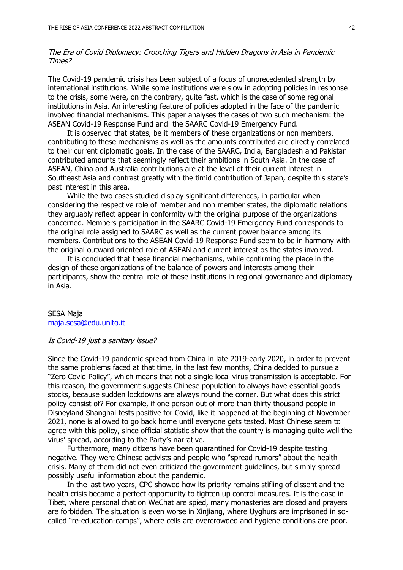## The Era of Covid Diplomacy: Crouching Tigers and Hidden Dragons in Asia in Pandemic Times?

The Covid-19 pandemic crisis has been subject of a focus of unprecedented strength by international institutions. While some institutions were slow in adopting policies in response to the crisis, some were, on the contrary, quite fast, which is the case of some regional institutions in Asia. An interesting feature of policies adopted in the face of the pandemic involved financial mechanisms. This paper analyses the cases of two such mechanism: the ASEAN Covid-19 Response Fund and the SAARC Covid-19 Emergency Fund.

It is observed that states, be it members of these organizations or non members, contributing to these mechanisms as well as the amounts contributed are directly correlated to their current diplomatic goals. In the case of the SAARC, India, Bangladesh and Pakistan contributed amounts that seemingly reflect their ambitions in South Asia. In the case of ASEAN, China and Australia contributions are at the level of their current interest in Southeast Asia and contrast greatly with the timid contribution of Japan, despite this state's past interest in this area.

While the two cases studied display significant differences, in particular when considering the respective role of member and non member states, the diplomatic relations they arguably reflect appear in conformity with the original purpose of the organizations concerned. Members participation in the SAARC Covid-19 Emergency Fund corresponds to the original role assigned to SAARC as well as the current power balance among its members. Contributions to the ASEAN Covid-19 Response Fund seem to be in harmony with the original outward oriented role of ASEAN and current interest os the states involved.

It is concluded that these financial mechanisms, while confirming the place in the design of these organizations of the balance of powers and interests among their participants, show the central role of these institutions in regional governance and diplomacy in Asia.

#### SESA Maja maja.sesa@edu.unito.it

#### Is Covid-19 just a sanitary issue?

Since the Covid-19 pandemic spread from China in late 2019-early 2020, in order to prevent the same problems faced at that time, in the last few months, China decided to pursue a "Zero Covid Policy", which means that not a single local virus transmission is acceptable. For this reason, the government suggests Chinese population to always have essential goods stocks, because sudden lockdowns are always round the corner. But what does this strict policy consist of? For example, if one person out of more than thirty thousand people in Disneyland Shanghai tests positive for Covid, like it happened at the beginning of November 2021, none is allowed to go back home until everyone gets tested. Most Chinese seem to agree with this policy, since official statistic show that the country is managing quite well the virus' spread, according to the Party's narrative.

Furthermore, many citizens have been quarantined for Covid-19 despite testing negative. They were Chinese activists and people who "spread rumors" about the health crisis. Many of them did not even criticized the government guidelines, but simply spread possibly useful information about the pandemic.

In the last two years, CPC showed how its priority remains stifling of dissent and the health crisis became a perfect opportunity to tighten up control measures. It is the case in Tibet, where personal chat on WeChat are spied, many monasteries are closed and prayers are forbidden. The situation is even worse in Xinjiang, where Uyghurs are imprisoned in socalled "re-education-camps", where cells are overcrowded and hygiene conditions are poor.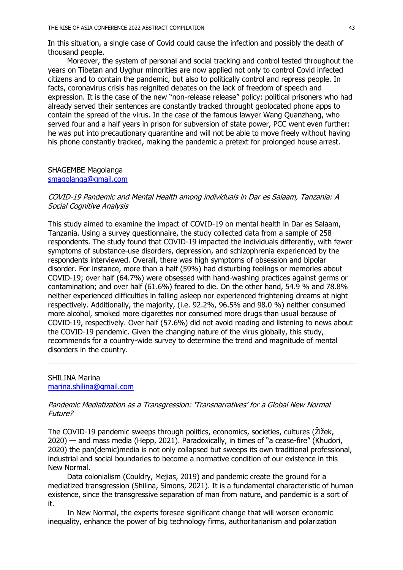In this situation, a single case of Covid could cause the infection and possibly the death of thousand people.

Moreover, the system of personal and social tracking and control tested throughout the years on Tibetan and Uyghur minorities are now applied not only to control Covid infected citizens and to contain the pandemic, but also to politically control and repress people. In facts, coronavirus crisis has reignited debates on the lack of freedom of speech and expression. It is the case of the new "non-release release" policy: political prisoners who had already served their sentences are constantly tracked throught geolocated phone apps to contain the spread of the virus. In the case of the famous lawyer Wang Quanzhang, who served four and a half years in prison for subversion of state power, PCC went even further: he was put into precautionary quarantine and will not be able to move freely without having his phone constantly tracked, making the pandemic a pretext for prolonged house arrest.

### SHAGEMBE Magolanga smagolanga@gmail.com

COVID-19 Pandemic and Mental Health among individuals in Dar es Salaam, Tanzania: A Social Cognitive Analysis

This study aimed to examine the impact of COVID-19 on mental health in Dar es Salaam, Tanzania. Using a survey questionnaire, the study collected data from a sample of 258 respondents. The study found that COVID-19 impacted the individuals differently, with fewer symptoms of substance-use disorders, depression, and schizophrenia experienced by the respondents interviewed. Overall, there was high symptoms of obsession and bipolar disorder. For instance, more than a half (59%) had disturbing feelings or memories about COVID-19; over half (64.7%) were obsessed with hand-washing practices against germs or contamination; and over half (61.6%) feared to die. On the other hand, 54.9 % and 78.8% neither experienced difficulties in falling asleep nor experienced frightening dreams at night respectively. Additionally, the majority, (i.e. 92.2%, 96.5% and 98.0 %) neither consumed more alcohol, smoked more cigarettes nor consumed more drugs than usual because of COVID-19, respectively. Over half (57.6%) did not avoid reading and listening to news about the COVID-19 pandemic. Given the changing nature of the virus globally, this study, recommends for a country-wide survey to determine the trend and magnitude of mental disorders in the country.

SHILINA Marina marina.shilina@gmail.com

### Pandemic Mediatization as a Transgression: 'Transnarratives' for a Global New Normal Future?

The COVID-19 pandemic sweeps through politics, economics, societies, cultures (Žižek, 2020) — and mass media (Hepp, 2021). Paradoxically, in times of "a cease-fire" (Khudori, 2020) the pan(demic)media is not only collapsed but sweeps its own traditional professional, industrial and social boundaries to become a normative condition of our existence in this New Normal.

Data colonialism (Couldry, Mejias, 2019) and pandemic create the ground for a mediatized transgression (Shilina, Simons, 2021). It is a fundamental characteristic of human existence, since the transgressive separation of man from nature, and pandemic is a sort of it.

In New Normal, the experts foresee significant change that will worsen economic inequality, enhance the power of big technology firms, authoritarianism and polarization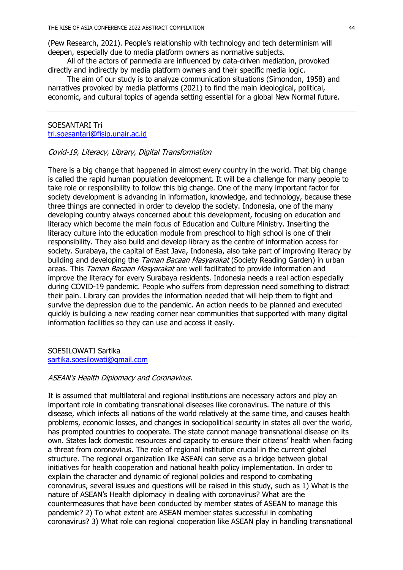(Pew Research, 2021). People's relationship with technology and tech determinism will deepen, especially due to media platform owners as normative subjects.

All of the actors of panmedia are influenced by data-driven mediation, provoked directly and indirectly by media platform owners and their specific media logic.

The aim of our study is to analyze communication situations (Simondon, 1958) and narratives provoked by media platforms (2021) to find the main ideological, political, economic, and cultural topics of agenda setting essential for a global New Normal future.

SOESANTARI Tri tri.soesantari@fisip.unair.ac.id

### Covid-19, Literacy, Library, Digital Transformation

There is a big change that happened in almost every country in the world. That big change is called the rapid human population development. It will be a challenge for many people to take role or responsibility to follow this big change. One of the many important factor for society development is advancing in information, knowledge, and technology, because these three things are connected in order to develop the society. Indonesia, one of the many developing country always concerned about this development, focusing on education and literacy which become the main focus of Education and Culture Ministry. Inserting the literacy culture into the education module from preschool to high school is one of their responsibility. They also build and develop library as the centre of information access for society. Surabaya, the capital of East Java, Indonesia, also take part of improving literacy by building and developing the *Taman Bacaan Masyarakat* (Society Reading Garden) in urban areas. This Taman Bacaan Masyarakat are well facilitated to provide information and improve the literacy for every Surabaya residents. Indonesia needs a real action especially during COVID-19 pandemic. People who suffers from depression need something to distract their pain. Library can provides the information needed that will help them to fight and survive the depression due to the pandemic. An action needs to be planned and executed quickly is building a new reading corner near communities that supported with many digital information facilities so they can use and access it easily.

SOESILOWATI Sartika sartika.soesilowati@gmail.com

## ASEAN's Health Diplomacy and Coronavirus.

It is assumed that multilateral and regional institutions are necessary actors and play an important role in combating transnational diseases like coronavirus. The nature of this disease, which infects all nations of the world relatively at the same time, and causes health problems, economic losses, and changes in sociopolitical security in states all over the world, has prompted countries to cooperate. The state cannot manage transnational disease on its own. States lack domestic resources and capacity to ensure their citizens' health when facing a threat from coronavirus. The role of regional institution crucial in the current global structure. The regional organization like ASEAN can serve as a bridge between global initiatives for health cooperation and national health policy implementation. In order to explain the character and dynamic of regional policies and respond to combating coronavirus, several issues and questions will be raised in this study, such as 1) What is the nature of ASEAN's Health diplomacy in dealing with coronavirus? What are the countermeasures that have been conducted by member states of ASEAN to manage this pandemic? 2) To what extent are ASEAN member states successful in combating coronavirus? 3) What role can regional cooperation like ASEAN play in handling transnational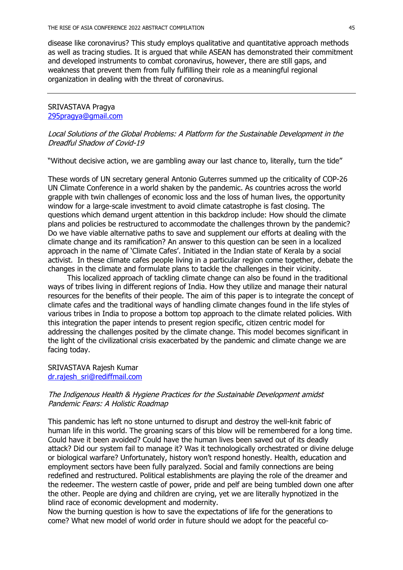disease like coronavirus? This study employs qualitative and quantitative approach methods as well as tracing studies. It is argued that while ASEAN has demonstrated their commitment and developed instruments to combat coronavirus, however, there are still gaps, and weakness that prevent them from fully fulfilling their role as a meaningful regional organization in dealing with the threat of coronavirus.

## SRIVASTAVA Pragya 295pragya@gmail.com

Local Solutions of the Global Problems: A Platform for the Sustainable Development in the Dreadful Shadow of Covid-19

"Without decisive action, we are gambling away our last chance to, literally, turn the tide"

These words of UN secretary general Antonio Guterres summed up the criticality of COP-26 UN Climate Conference in a world shaken by the pandemic. As countries across the world grapple with twin challenges of economic loss and the loss of human lives, the opportunity window for a large-scale investment to avoid climate catastrophe is fast closing. The questions which demand urgent attention in this backdrop include: How should the climate plans and policies be restructured to accommodate the challenges thrown by the pandemic? Do we have viable alternative paths to save and supplement our efforts at dealing with the climate change and its ramification? An answer to this question can be seen in a localized approach in the name of 'Climate Cafes'. Initiated in the Indian state of Kerala by a social activist. In these climate cafes people living in a particular region come together, debate the changes in the climate and formulate plans to tackle the challenges in their vicinity.

This localized approach of tackling climate change can also be found in the traditional ways of tribes living in different regions of India. How they utilize and manage their natural resources for the benefits of their people. The aim of this paper is to integrate the concept of climate cafes and the traditional ways of handling climate changes found in the life styles of various tribes in India to propose a bottom top approach to the climate related policies. With this integration the paper intends to present region specific, citizen centric model for addressing the challenges posited by the climate change. This model becomes significant in the light of the civilizational crisis exacerbated by the pandemic and climate change we are facing today.

### SRIVASTAVA Rajesh Kumar dr.rajesh\_sri@rediffmail.com

### The Indigenous Health & Hygiene Practices for the Sustainable Development amidst Pandemic Fears: A Holistic Roadmap

This pandemic has left no stone unturned to disrupt and destroy the well-knit fabric of human life in this world. The groaning scars of this blow will be remembered for a long time. Could have it been avoided? Could have the human lives been saved out of its deadly attack? Did our system fail to manage it? Was it technologically orchestrated or divine deluge or biological warfare? Unfortunately, history won't respond honestly. Health, education and employment sectors have been fully paralyzed. Social and family connections are being redefined and restructured. Political establishments are playing the role of the dreamer and the redeemer. The western castle of power, pride and pelf are being tumbled down one after the other. People are dying and children are crying, yet we are literally hypnotized in the blind race of economic development and modernity.

Now the burning question is how to save the expectations of life for the generations to come? What new model of world order in future should we adopt for the peaceful co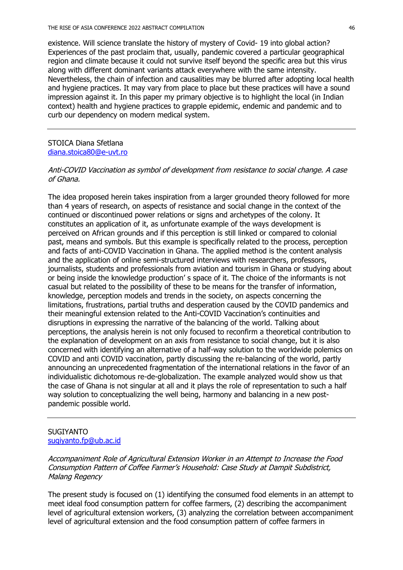existence. Will science translate the history of mystery of Covid- 19 into global action? Experiences of the past proclaim that, usually, pandemic covered a particular geographical region and climate because it could not survive itself beyond the specific area but this virus along with different dominant variants attack everywhere with the same intensity. Nevertheless, the chain of infection and causalities may be blurred after adopting local health and hygiene practices. It may vary from place to place but these practices will have a sound impression against it. In this paper my primary objective is to highlight the local (in Indian context) health and hygiene practices to grapple epidemic, endemic and pandemic and to curb our dependency on modern medical system.

# STOICA Diana Sfetlana diana.stoica80@e-uvt.ro

### Anti-COVID Vaccination as symbol of development from resistance to social change. A case of Ghana.

The idea proposed herein takes inspiration from a larger grounded theory followed for more than 4 years of research, on aspects of resistance and social change in the context of the continued or discontinued power relations or signs and archetypes of the colony. It constitutes an application of it, as unfortunate example of the ways development is perceived on African grounds and if this perception is still linked or compared to colonial past, means and symbols. But this example is specifically related to the process, perception and facts of anti-COVID Vaccination in Ghana. The applied method is the content analysis and the application of online semi-structured interviews with researchers, professors, journalists, students and professionals from aviation and tourism in Ghana or studying about or being inside the knowledge production' s space of it. The choice of the informants is not casual but related to the possibility of these to be means for the transfer of information, knowledge, perception models and trends in the society, on aspects concerning the limitations, frustrations, partial truths and desperation caused by the COVID pandemics and their meaningful extension related to the Anti-COVID Vaccination's continuities and disruptions in expressing the narrative of the balancing of the world. Talking about perceptions, the analysis herein is not only focused to reconfirm a theoretical contribution to the explanation of development on an axis from resistance to social change, but it is also concerned with identifying an alternative of a half-way solution to the worldwide polemics on COVID and anti COVID vaccination, partly discussing the re-balancing of the world, partly announcing an unprecedented fragmentation of the international relations in the favor of an individualistic dichotomous re-de-globalization. The example analyzed would show us that the case of Ghana is not singular at all and it plays the role of representation to such a half way solution to conceptualizing the well being, harmony and balancing in a new postpandemic possible world.

#### SUGIYANTO sugiyanto.fp@ub.ac.id

Accompaniment Role of Agricultural Extension Worker in an Attempt to Increase the Food Consumption Pattern of Coffee Farmer's Household: Case Study at Dampit Subdistrict, Malang Regency

The present study is focused on (1) identifying the consumed food elements in an attempt to meet ideal food consumption pattern for coffee farmers, (2) describing the accompaniment level of agricultural extension workers, (3) analyzing the correlation between accompaniment level of agricultural extension and the food consumption pattern of coffee farmers in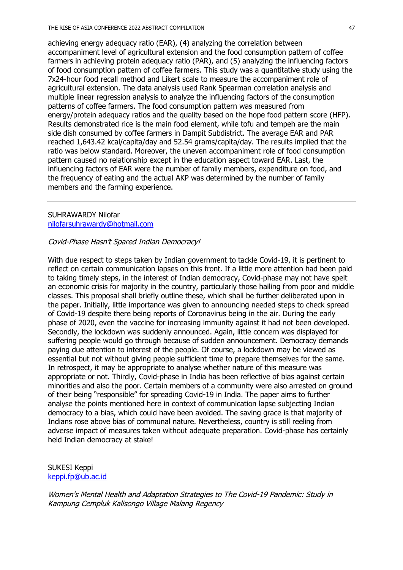achieving energy adequacy ratio (EAR), (4) analyzing the correlation between accompaniment level of agricultural extension and the food consumption pattern of coffee farmers in achieving protein adequacy ratio (PAR), and (5) analyzing the influencing factors of food consumption pattern of coffee farmers. This study was a quantitative study using the 7x24-hour food recall method and Likert scale to measure the accompaniment role of agricultural extension. The data analysis used Rank Spearman correlation analysis and multiple linear regression analysis to analyze the influencing factors of the consumption patterns of coffee farmers. The food consumption pattern was measured from energy/protein adequacy ratios and the quality based on the hope food pattern score (HFP). Results demonstrated rice is the main food element, while tofu and tempeh are the main side dish consumed by coffee farmers in Dampit Subdistrict. The average EAR and PAR reached 1,643.42 kcal/capita/day and 52.54 grams/capita/day. The results implied that the ratio was below standard. Moreover, the uneven accompaniment role of food consumption pattern caused no relationship except in the education aspect toward EAR. Last, the influencing factors of EAR were the number of family members, expenditure on food, and the frequency of eating and the actual AKP was determined by the number of family members and the farming experience.

### SUHRAWARDY Nilofar nilofarsuhrawardy@hotmail.com

# Covid-Phase Hasn't Spared Indian Democracy!

With due respect to steps taken by Indian government to tackle Covid-19, it is pertinent to reflect on certain communication lapses on this front. If a little more attention had been paid to taking timely steps, in the interest of Indian democracy, Covid-phase may not have spelt an economic crisis for majority in the country, particularly those hailing from poor and middle classes. This proposal shall briefly outline these, which shall be further deliberated upon in the paper. Initially, little importance was given to announcing needed steps to check spread of Covid-19 despite there being reports of Coronavirus being in the air. During the early phase of 2020, even the vaccine for increasing immunity against it had not been developed. Secondly, the lockdown was suddenly announced. Again, little concern was displayed for suffering people would go through because of sudden announcement. Democracy demands paying due attention to interest of the people. Of course, a lockdown may be viewed as essential but not without giving people sufficient time to prepare themselves for the same. In retrospect, it may be appropriate to analyse whether nature of this measure was appropriate or not. Thirdly, Covid-phase in India has been reflective of bias against certain minorities and also the poor. Certain members of a community were also arrested on ground of their being "responsible" for spreading Covid-19 in India. The paper aims to further analyse the points mentioned here in context of communication lapse subjecting Indian democracy to a bias, which could have been avoided. The saving grace is that majority of Indians rose above bias of communal nature. Nevertheless, country is still reeling from adverse impact of measures taken without adequate preparation. Covid-phase has certainly held Indian democracy at stake!

### SUKESI Keppi keppi.fp@ub.ac.id

Women's Mental Health and Adaptation Strategies to The Covid-19 Pandemic: Study in Kampung Cempluk Kalisongo Village Malang Regency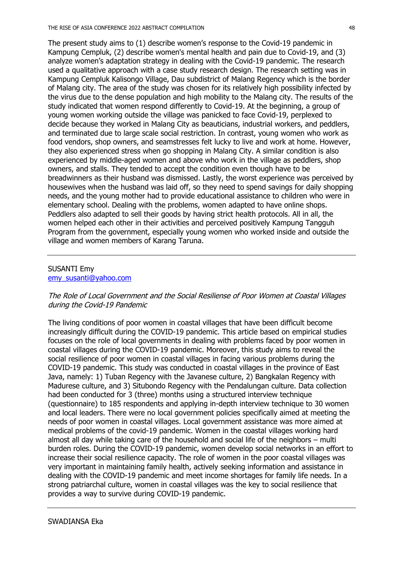The present study aims to (1) describe women's response to the Covid-19 pandemic in Kampung Cempluk, (2) describe women's mental health and pain due to Covid-19, and (3) analyze women's adaptation strategy in dealing with the Covid-19 pandemic. The research used a qualitative approach with a case study research design. The research setting was in Kampung Cempluk Kalisongo Village, Dau subdistrict of Malang Regency which is the border of Malang city. The area of the study was chosen for its relatively high possibility infected by the virus due to the dense population and high mobility to the Malang city. The results of the study indicated that women respond differently to Covid-19. At the beginning, a group of young women working outside the village was panicked to face Covid-19, perplexed to decide because they worked in Malang City as beauticians, industrial workers, and peddlers, and terminated due to large scale social restriction. In contrast, young women who work as food vendors, shop owners, and seamstresses felt lucky to live and work at home. However, they also experienced stress when go shopping in Malang City. A similar condition is also experienced by middle-aged women and above who work in the village as peddlers, shop owners, and stalls. They tended to accept the condition even though have to be breadwinners as their husband was dismissed. Lastly, the worst experience was perceived by housewives when the husband was laid off, so they need to spend savings for daily shopping needs, and the young mother had to provide educational assistance to children who were in elementary school. Dealing with the problems, women adapted to have online shops. Peddlers also adapted to sell their goods by having strict health protocols. All in all, the women helped each other in their activities and perceived positively Kampung Tangguh Program from the government, especially young women who worked inside and outside the village and women members of Karang Taruna.

# SUSANTI Emy

emy\_susanti@yahoo.com

## The Role of Local Government and the Social Resiliense of Poor Women at Coastal Villages during the Covid-19 Pandemic

The living conditions of poor women in coastal villages that have been difficult become increasingly difficult during the COVID-19 pandemic. This article based on empirical studies focuses on the role of local governments in dealing with problems faced by poor women in coastal villages during the COVID-19 pandemic. Moreover, this study aims to reveal the social resilience of poor women in coastal villages in facing various problems during the COVID-19 pandemic. This study was conducted in coastal villages in the province of East Java, namely: 1) Tuban Regency with the Javanese culture, 2) Bangkalan Regency with Madurese culture, and 3) Situbondo Regency with the Pendalungan culture. Data collection had been conducted for 3 (three) months using a structured interview technique (questionnaire) to 185 respondents and applying in-depth interview technique to 30 women and local leaders. There were no local government policies specifically aimed at meeting the needs of poor women in coastal villages. Local government assistance was more aimed at medical problems of the covid-19 pandemic. Women in the coastal villages working hard almost all day while taking care of the household and social life of the neighbors – multi burden roles. During the COVID-19 pandemic, women develop social networks in an effort to increase their social resilience capacity. The role of women in the poor coastal villages was very important in maintaining family health, actively seeking information and assistance in dealing with the COVID-19 pandemic and meet income shortages for family life needs. In a strong patriarchal culture, women in coastal villages was the key to social resilience that provides a way to survive during COVID-19 pandemic.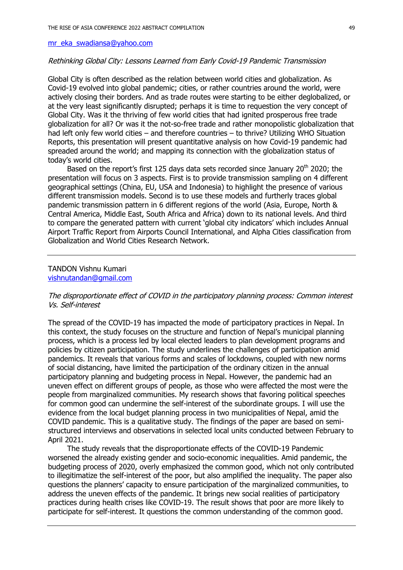mr\_eka\_swadiansa@yahoo.com

#### Rethinking Global City: Lessons Learned from Early Covid-19 Pandemic Transmission

Global City is often described as the relation between world cities and globalization. As Covid-19 evolved into global pandemic; cities, or rather countries around the world, were actively closing their borders. And as trade routes were starting to be either deglobalized, or at the very least significantly disrupted; perhaps it is time to requestion the very concept of Global City. Was it the thriving of few world cities that had ignited prosperous free trade globalization for all? Or was it the not-so-free trade and rather monopolistic globalization that had left only few world cities – and therefore countries – to thrive? Utilizing WHO Situation Reports, this presentation will present quantitative analysis on how Covid-19 pandemic had spreaded around the world; and mapping its connection with the globalization status of today's world cities.

Based on the report's first 125 days data sets recorded since January 20<sup>th</sup> 2020; the presentation will focus on 3 aspects. First is to provide transmission sampling on 4 different geographical settings (China, EU, USA and Indonesia) to highlight the presence of various different transmission models. Second is to use these models and furtherly traces global pandemic transmission pattern in 6 different regions of the world (Asia, Europe, North & Central America, Middle East, South Africa and Africa) down to its national levels. And third to compare the generated pattern with current 'global city indicators' which includes Annual Airport Traffic Report from Airports Council International, and Alpha Cities classification from Globalization and World Cities Research Network.

### TANDON Vishnu Kumari vishnutandan@gmail.com

## The disproportionate effect of COVID in the participatory planning process: Common interest Vs. Self-interest

The spread of the COVID-19 has impacted the mode of participatory practices in Nepal. In this context, the study focuses on the structure and function of Nepal's municipal planning process, which is a process led by local elected leaders to plan development programs and policies by citizen participation. The study underlines the challenges of participation amid pandemics. It reveals that various forms and scales of lockdowns, coupled with new norms of social distancing, have limited the participation of the ordinary citizen in the annual participatory planning and budgeting process in Nepal. However, the pandemic had an uneven effect on different groups of people, as those who were affected the most were the people from marginalized communities. My research shows that favoring political speeches for common good can undermine the self-interest of the subordinate groups. I will use the evidence from the local budget planning process in two municipalities of Nepal, amid the COVID pandemic. This is a qualitative study. The findings of the paper are based on semistructured interviews and observations in selected local units conducted between February to April 2021.

The study reveals that the disproportionate effects of the COVID-19 Pandemic worsened the already existing gender and socio-economic inequalities. Amid pandemic, the budgeting process of 2020, overly emphasized the common good, which not only contributed to illegitimatize the self-interest of the poor, but also amplified the inequality. The paper also questions the planners' capacity to ensure participation of the marginalized communities, to address the uneven effects of the pandemic. It brings new social realities of participatory practices during health crises like COVID-19. The result shows that poor are more likely to participate for self-interest. It questions the common understanding of the common good.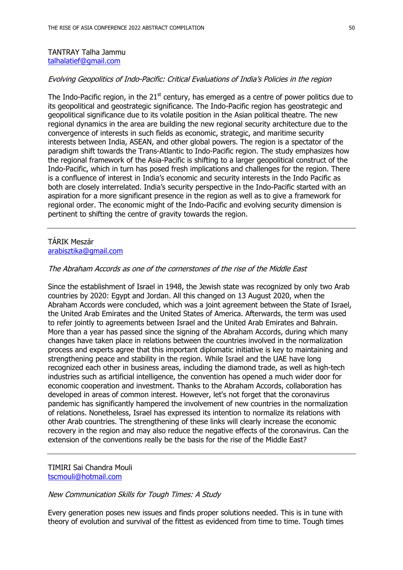### TANTRAY Talha Jammu talhalatief@gmail.com

# Evolving Geopolitics of Indo-Pacific: Critical Evaluations of India's Policies in the region

The Indo-Pacific region, in the  $21<sup>st</sup>$  century, has emerged as a centre of power politics due to its geopolitical and geostrategic significance. The Indo-Pacific region has geostrategic and geopolitical significance due to its volatile position in the Asian political theatre. The new regional dynamics in the area are building the new regional security architecture due to the convergence of interests in such fields as economic, strategic, and maritime security interests between India, ASEAN, and other global powers. The region is a spectator of the paradigm shift towards the Trans-Atlantic to Indo-Pacific region. The study emphasizes how the regional framework of the Asia-Pacific is shifting to a larger geopolitical construct of the Indo-Pacific, which in turn has posed fresh implications and challenges for the region. There is a confluence of interest in India's economic and security interests in the Indo Pacific as both are closely interrelated. India's security perspective in the Indo-Pacific started with an aspiration for a more significant presence in the region as well as to give a framework for regional order. The economic might of the Indo-Pacific and evolving security dimension is pertinent to shifting the centre of gravity towards the region.

# TÁRIK Meszár arabisztika@gmail.com

#### The Abraham Accords as one of the cornerstones of the rise of the Middle East

Since the establishment of Israel in 1948, the Jewish state was recognized by only two Arab countries by 2020: Egypt and Jordan. All this changed on 13 August 2020, when the Abraham Accords were concluded, which was a joint agreement between the State of Israel, the United Arab Emirates and the United States of America. Afterwards, the term was used to refer jointly to agreements between Israel and the United Arab Emirates and Bahrain. More than a year has passed since the signing of the Abraham Accords, during which many changes have taken place in relations between the countries involved in the normalization process and experts agree that this important diplomatic initiative is key to maintaining and strengthening peace and stability in the region. While Israel and the UAE have long recognized each other in business areas, including the diamond trade, as well as high-tech industries such as artificial intelligence, the convention has opened a much wider door for economic cooperation and investment. Thanks to the Abraham Accords, collaboration has developed in areas of common interest. However, let's not forget that the coronavirus pandemic has significantly hampered the involvement of new countries in the normalization of relations. Nonetheless, Israel has expressed its intention to normalize its relations with other Arab countries. The strengthening of these links will clearly increase the economic recovery in the region and may also reduce the negative effects of the coronavirus. Can the extension of the conventions really be the basis for the rise of the Middle East?

TIMIRI Sai Chandra Mouli tscmouli@hotmail.com

#### New Communication Skills for Tough Times: A Study

Every generation poses new issues and finds proper solutions needed. This is in tune with theory of evolution and survival of the fittest as evidenced from time to time. Tough times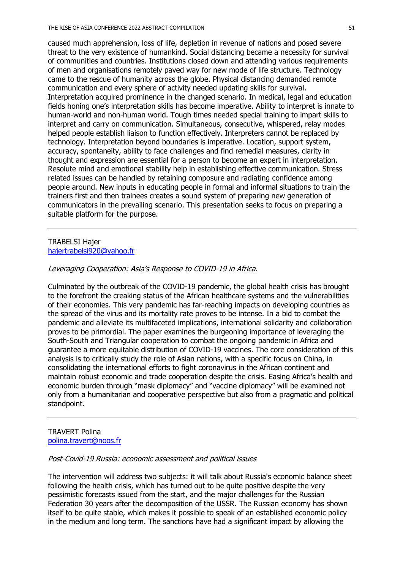caused much apprehension, loss of life, depletion in revenue of nations and posed severe threat to the very existence of humankind. Social distancing became a necessity for survival of communities and countries. Institutions closed down and attending various requirements of men and organisations remotely paved way for new mode of life structure. Technology came to the rescue of humanity across the globe. Physical distancing demanded remote communication and every sphere of activity needed updating skills for survival. Interpretation acquired prominence in the changed scenario. In medical, legal and education fields honing one's interpretation skills has become imperative. Ability to interpret is innate to human-world and non-human world. Tough times needed special training to impart skills to interpret and carry on communication. Simultaneous, consecutive, whispered, relay modes helped people establish liaison to function effectively. Interpreters cannot be replaced by technology. Interpretation beyond boundaries is imperative. Location, support system, accuracy, spontaneity, ability to face challenges and find remedial measures, clarity in thought and expression are essential for a person to become an expert in interpretation. Resolute mind and emotional stability help in establishing effective communication. Stress related issues can be handled by retaining composure and radiating confidence among people around. New inputs in educating people in formal and informal situations to train the trainers first and then trainees creates a sound system of preparing new generation of communicators in the prevailing scenario. This presentation seeks to focus on preparing a suitable platform for the purpose.

## TRABELSI Hajer hajertrabelsi920@yahoo.fr

#### Leveraging Cooperation: Asia's Response to COVID-19 in Africa.

Culminated by the outbreak of the COVID-19 pandemic, the global health crisis has brought to the forefront the creaking status of the African healthcare systems and the vulnerabilities of their economies. This very pandemic has far-reaching impacts on developing countries as the spread of the virus and its mortality rate proves to be intense. In a bid to combat the pandemic and alleviate its multifaceted implications, international solidarity and collaboration proves to be primordial. The paper examines the burgeoning importance of leveraging the South-South and Triangular cooperation to combat the ongoing pandemic in Africa and guarantee a more equitable distribution of COVID-19 vaccines. The core consideration of this analysis is to critically study the role of Asian nations, with a specific focus on China, in consolidating the international efforts to fight coronavirus in the African continent and maintain robust economic and trade cooperation despite the crisis. Easing Africa's health and economic burden through "mask diplomacy" and "vaccine diplomacy" will be examined not only from a humanitarian and cooperative perspective but also from a pragmatic and political standpoint.

### TRAVERT Polina polina.travert@noos.fr

#### Post-Covid-19 Russia: economic assessment and political issues

The intervention will address two subjects: it will talk about Russia's economic balance sheet following the health crisis, which has turned out to be quite positive despite the very pessimistic forecasts issued from the start, and the major challenges for the Russian Federation 30 years after the decomposition of the USSR. The Russian economy has shown itself to be quite stable, which makes it possible to speak of an established economic policy in the medium and long term. The sanctions have had a significant impact by allowing the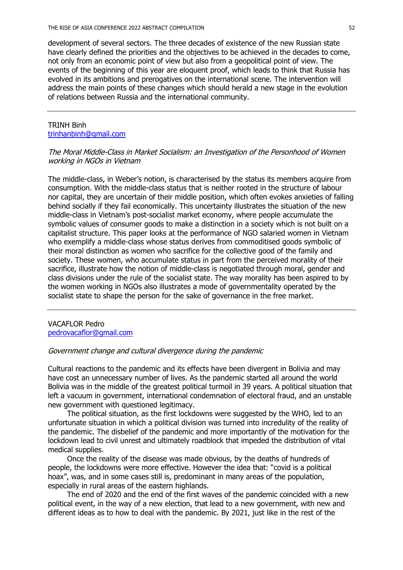development of several sectors. The three decades of existence of the new Russian state have clearly defined the priorities and the objectives to be achieved in the decades to come, not only from an economic point of view but also from a geopolitical point of view. The events of the beginning of this year are eloquent proof, which leads to think that Russia has evolved in its ambitions and prerogatives on the international scene. The intervention will address the main points of these changes which should herald a new stage in the evolution of relations between Russia and the international community.

### TRINH Binh trinhanbinh@gmail.com

## The Moral Middle-Class in Market Socialism: an Investigation of the Personhood of Women working in NGOs in Vietnam

The middle-class, in Weber's notion, is characterised by the status its members acquire from consumption. With the middle-class status that is neither rooted in the structure of labour nor capital, they are uncertain of their middle position, which often evokes anxieties of falling behind socially if they fail economically. This uncertainty illustrates the situation of the new middle-class in Vietnam's post-socialist market economy, where people accumulate the symbolic values of consumer goods to make a distinction in a society which is not built on a capitalist structure. This paper looks at the performance of NGO salaried women in Vietnam who exemplify a middle-class whose status derives from commoditised goods symbolic of their moral distinction as women who sacrifice for the collective good of the family and society. These women, who accumulate status in part from the perceived morality of their sacrifice, illustrate how the notion of middle-class is negotiated through moral, gender and class divisions under the rule of the socialist state. The way morality has been aspired to by the women working in NGOs also illustrates a mode of governmentality operated by the socialist state to shape the person for the sake of governance in the free market.

VACAFLOR Pedro pedrovacaflor@gmail.com

### Government change and cultural divergence during the pandemic

Cultural reactions to the pandemic and its effects have been divergent in Bolivia and may have cost an unnecessary number of lives. As the pandemic started all around the world Bolivia was in the middle of the greatest political turmoil in 39 years. A political situation that left a vacuum in government, international condemnation of electoral fraud, and an unstable new government with questioned legitimacy.

The political situation, as the first lockdowns were suggested by the WHO, led to an unfortunate situation in which a political division was turned into incredulity of the reality of the pandemic. The disbelief of the pandemic and more importantly of the motivation for the lockdown lead to civil unrest and ultimately roadblock that impeded the distribution of vital medical supplies.

Once the reality of the disease was made obvious, by the deaths of hundreds of people, the lockdowns were more effective. However the idea that: "covid is a political hoax", was, and in some cases still is, predominant in many areas of the population, especially in rural areas of the eastern highlands.

The end of 2020 and the end of the first waves of the pandemic coincided with a new political event, in the way of a new election, that lead to a new government, with new and different ideas as to how to deal with the pandemic. By 2021, just like in the rest of the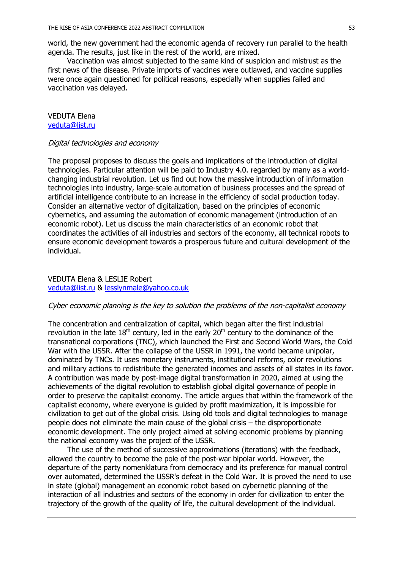world, the new government had the economic agenda of recovery run parallel to the health agenda. The results, just like in the rest of the world, are mixed.

Vaccination was almost subjected to the same kind of suspicion and mistrust as the first news of the disease. Private imports of vaccines were outlawed, and vaccine supplies were once again questioned for political reasons, especially when supplies failed and vaccination vas delayed.

#### VEDUTA Elena veduta@list.ru

#### Digital technologies and economy

The proposal proposes to discuss the goals and implications of the introduction of digital technologies. Particular attention will be paid to Industry 4.0. regarded by many as a worldchanging industrial revolution. Let us find out how the massive introduction of information technologies into industry, large-scale automation of business processes and the spread of artificial intelligence contribute to an increase in the efficiency of social production today. Consider an alternative vector of digitalization, based on the principles of economic cybernetics, and assuming the automation of economic management (introduction of an economic robot). Let us discuss the main characteristics of an economic robot that coordinates the activities of all industries and sectors of the economy, all technical robots to ensure economic development towards a prosperous future and cultural development of the individual.

## VEDUTA Elena & LESLIE Robert veduta@list.ru & lesslynmale@yahoo.co.uk

### Cyber economic planning is the key to solution the problems of the non-capitalist economy

The concentration and centralization of capital, which began after the first industrial revolution in the late  $18<sup>th</sup>$  century, led in the early  $20<sup>th</sup>$  century to the dominance of the transnational corporations (TNC), which launched the First and Second World Wars, the Cold War with the USSR. After the collapse of the USSR in 1991, the world became unipolar, dominated by TNCs. It uses monetary instruments, institutional reforms, color revolutions and military actions to redistribute the generated incomes and assets of all states in its favor. A contribution was made by post-image digital transformation in 2020, aimed at using the achievements of the digital revolution to establish global digital governance of people in order to preserve the capitalist economy. The article argues that within the framework of the capitalist economy, where everyone is guided by profit maximization, it is impossible for civilization to get out of the global crisis. Using old tools and digital technologies to manage people does not eliminate the main cause of the global crisis – the disproportionate economic development. The only project aimed at solving economic problems by planning the national economy was the project of the USSR.

The use of the method of successive approximations (iterations) with the feedback, allowed the country to become the pole of the post-war bipolar world. However, the departure of the party nomenklatura from democracy and its preference for manual control over automated, determined the USSR's defeat in the Cold War. It is proved the need to use in state (global) management an economic robot based on cybernetic planning of the interaction of all industries and sectors of the economy in order for civilization to enter the trajectory of the growth of the quality of life, the cultural development of the individual.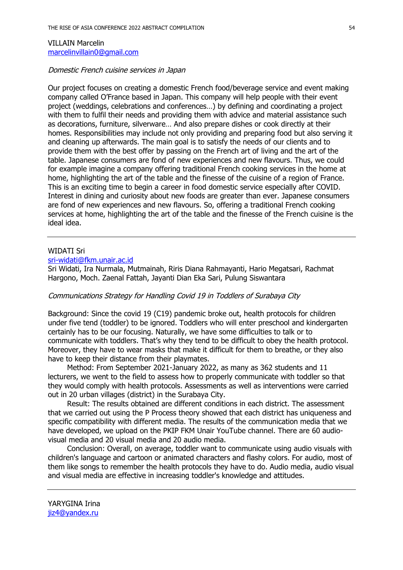# VILLAIN Marcelin marcelinvillain0@gmail.com

#### Domestic French cuisine services in Japan

Our project focuses on creating a domestic French food/beverage service and event making company called O'France based in Japan. This company will help people with their event project (weddings, celebrations and conferences…) by defining and coordinating a project with them to fulfil their needs and providing them with advice and material assistance such as decorations, furniture, silverware… And also prepare dishes or cook directly at their homes. Responsibilities may include not only providing and preparing food but also serving it and cleaning up afterwards. The main goal is to satisfy the needs of our clients and to provide them with the best offer by passing on the French art of living and the art of the table. Japanese consumers are fond of new experiences and new flavours. Thus, we could for example imagine a company offering traditional French cooking services in the home at home, highlighting the art of the table and the finesse of the cuisine of a region of France. This is an exciting time to begin a career in food domestic service especially after COVID. Interest in dining and curiosity about new foods are greater than ever. Japanese consumers are fond of new experiences and new flavours. So, offering a traditional French cooking services at home, highlighting the art of the table and the finesse of the French cuisine is the ideal idea.

## WIDATI Sri

sri-widati@fkm.unair.ac.id

Sri Widati, Ira Nurmala, Mutmainah, Riris Diana Rahmayanti, Hario Megatsari, Rachmat Hargono, Moch. Zaenal Fattah, Jayanti Dian Eka Sari, Pulung Siswantara

# Communications Strategy for Handling Covid 19 in Toddlers of Surabaya City

Background: Since the covid 19 (C19) pandemic broke out, health protocols for children under five tend (toddler) to be ignored. Toddlers who will enter preschool and kindergarten certainly has to be our focusing. Naturally, we have some difficulties to talk or to communicate with toddlers. That's why they tend to be difficult to obey the health protocol. Moreover, they have to wear masks that make it difficult for them to breathe, or they also have to keep their distance from their playmates.

Method: From September 2021-January 2022, as many as 362 students and 11 lecturers, we went to the field to assess how to properly communicate with toddler so that they would comply with health protocols. Assessments as well as interventions were carried out in 20 urban villages (district) in the Surabaya City.

Result: The results obtained are different conditions in each district. The assessment that we carried out using the P Process theory showed that each district has uniqueness and specific compatibility with different media. The results of the communication media that we have developed, we upload on the PKIP FKM Unair YouTube channel. There are 60 audiovisual media and 20 visual media and 20 audio media.

Conclusion: Overall, on average, toddler want to communicate using audio visuals with children's language and cartoon or animated characters and flashy colors. For audio, most of them like songs to remember the health protocols they have to do. Audio media, audio visual and visual media are effective in increasing toddler's knowledge and attitudes.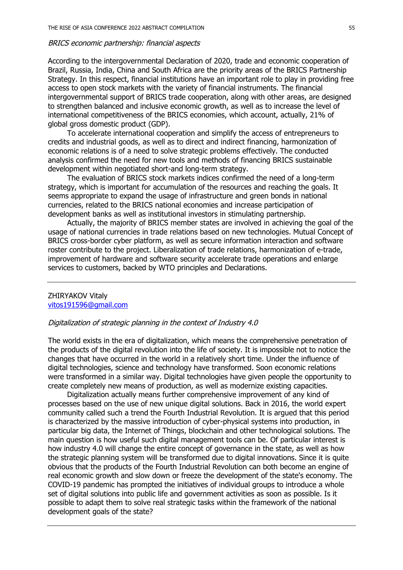#### BRICS economic partnership: financial aspects

According to the intergovernmental Declaration of 2020, trade and economic cooperation of Brazil, Russia, India, China and South Africa are the priority areas of the BRICS Partnership Strategy. In this respect, financial institutions have an important role to play in providing free access to open stock markets with the variety of financial instruments. The financial intergovernmental support of BRICS trade cooperation, along with other areas, are designed to strengthen balanced and inclusive economic growth, as well as to increase the level of international competitiveness of the BRICS economies, which account, actually, 21% of global gross domestic product (GDP).

To accelerate international cooperation and simplify the access of entrepreneurs to credits and industrial goods, as well as to direct and indirect financing, harmonization of economic relations is of a need to solve strategic problems effectively. The conducted analysis confirmed the need for new tools and methods of financing BRICS sustainable development within negotiated short-and long-term strategy.

The evaluation of BRICS stock markets indices confirmed the need of a long-term strategy, which is important for accumulation of the resources and reaching the goals. It seems appropriate to expand the usage of infrastructure and green bonds in national currencies, related to the BRICS national economies and increase participation of development banks as well as institutional investors in stimulating partnership.

Actually, the majority of BRICS member states are involved in achieving the goal of the usage of national currencies in trade relations based on new technologies. Mutual Concept of BRICS cross-border cyber platform, as well as secure information interaction and software roster contribute to the project. Liberalization of trade relations, harmonization of e-trade, improvement of hardware and software security accelerate trade operations and enlarge services to customers, backed by WTO principles and Declarations.

#### ZHIRYAKOV Vitaly vitos191596@gmail.com

#### Digitalization of strategic planning in the context of Industry 4.0

The world exists in the era of digitalization, which means the comprehensive penetration of the products of the digital revolution into the life of society. It is impossible not to notice the changes that have occurred in the world in a relatively short time. Under the influence of digital technologies, science and technology have transformed. Soon economic relations were transformed in a similar way. Digital technologies have given people the opportunity to create completely new means of production, as well as modernize existing capacities.

Digitalization actually means further comprehensive improvement of any kind of processes based on the use of new unique digital solutions. Back in 2016, the world expert community called such a trend the Fourth Industrial Revolution. It is argued that this period is characterized by the massive introduction of cyber-physical systems into production, in particular big data, the Internet of Things, blockchain and other technological solutions. The main question is how useful such digital management tools can be. Of particular interest is how industry 4.0 will change the entire concept of governance in the state, as well as how the strategic planning system will be transformed due to digital innovations. Since it is quite obvious that the products of the Fourth Industrial Revolution can both become an engine of real economic growth and slow down or freeze the development of the state's economy. The COVID-19 pandemic has prompted the initiatives of individual groups to introduce a whole set of digital solutions into public life and government activities as soon as possible. Is it possible to adapt them to solve real strategic tasks within the framework of the national development goals of the state?